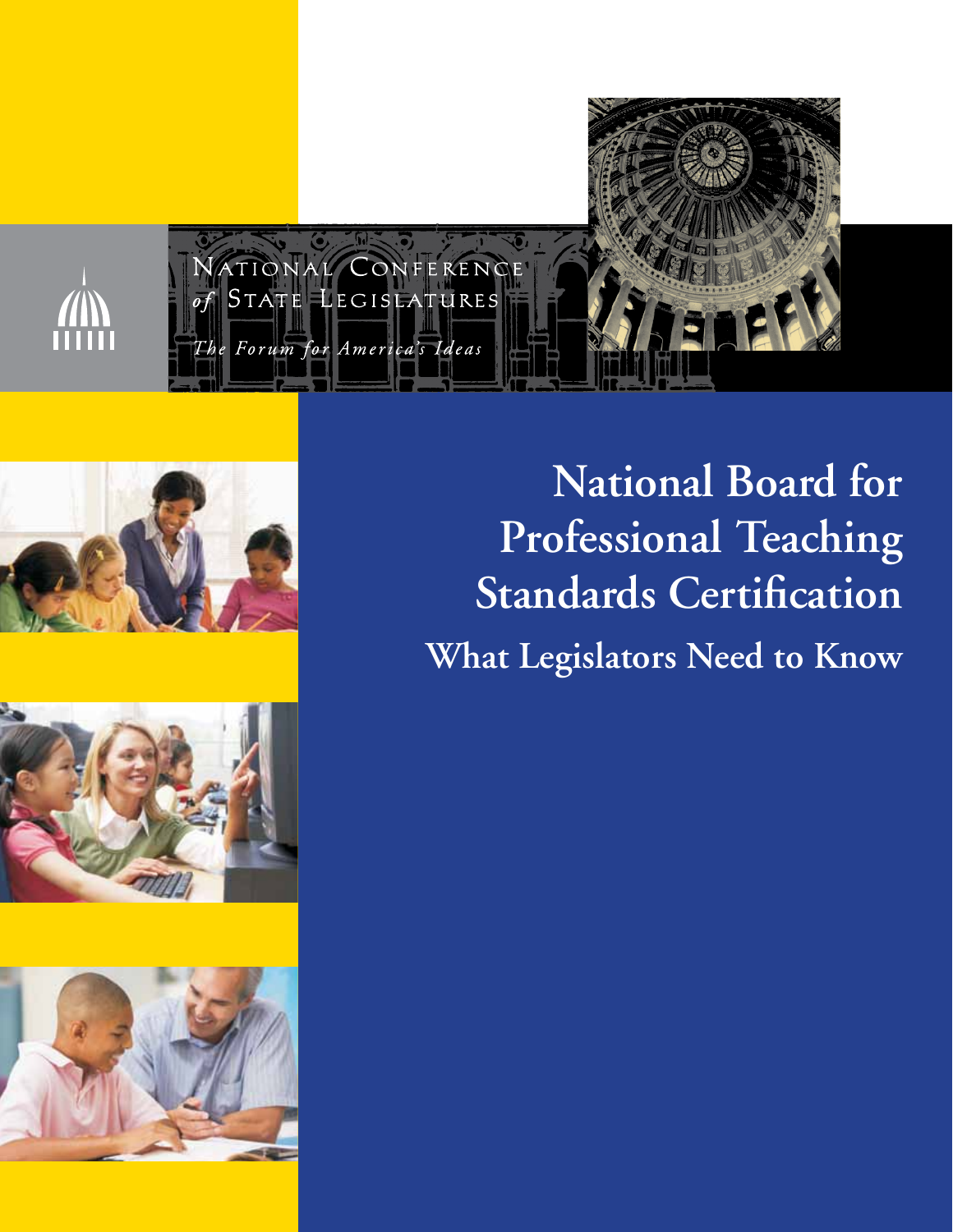







**National Board for Professional Teaching Standards Certification What Legislators Need to Know**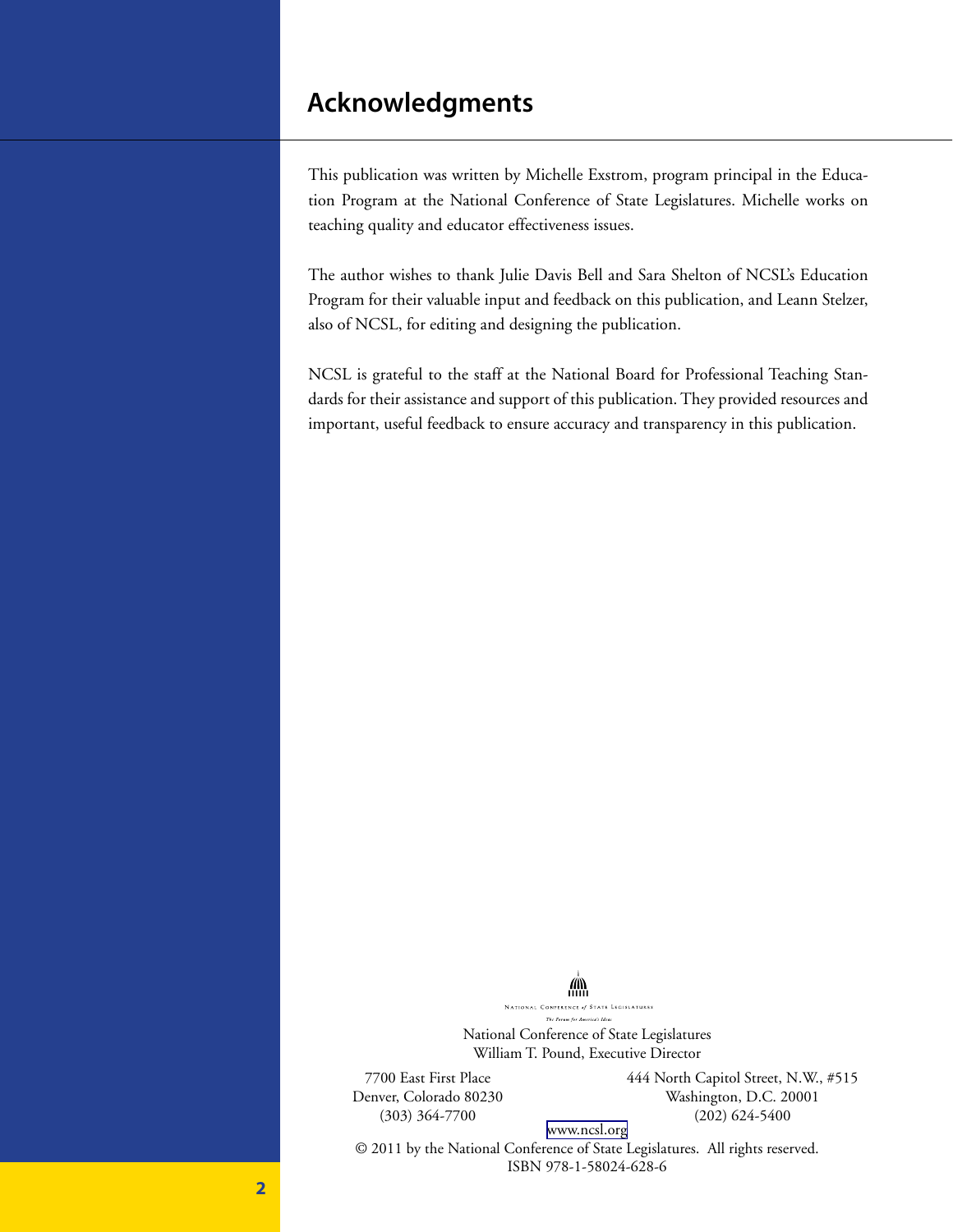### **Acknowledgments**

This publication was written by Michelle Exstrom, program principal in the Education Program at the National Conference of State Legislatures. Michelle works on teaching quality and educator effectiveness issues.

The author wishes to thank Julie Davis Bell and Sara Shelton of NCSL's Education Program for their valuable input and feedback on this publication, and Leann Stelzer, also of NCSL, for editing and designing the publication.

NCSL is grateful to the staff at the National Board for Professional Teaching Standards for their assistance and support of this publication. They provided resources and important, useful feedback to ensure accuracy and transparency in this publication.

> NATIONAL CONFERENCE of STATE LEGISLATURES .<br>The Forum for America's i National Conference of State Legislatures William T. Pound, Executive Director

**AND** 

7700 East First Place Denver, Colorado 80230 (303) 364-7700

444 North Capitol Street, N.W., #515 Washington, D.C. 20001 (202) 624-5400

[www.ncsl.org](http://www,ncsl.org)

© 2011 by the National Conference of State Legislatures. All rights reserved. ISBN 978-1-58024-628-6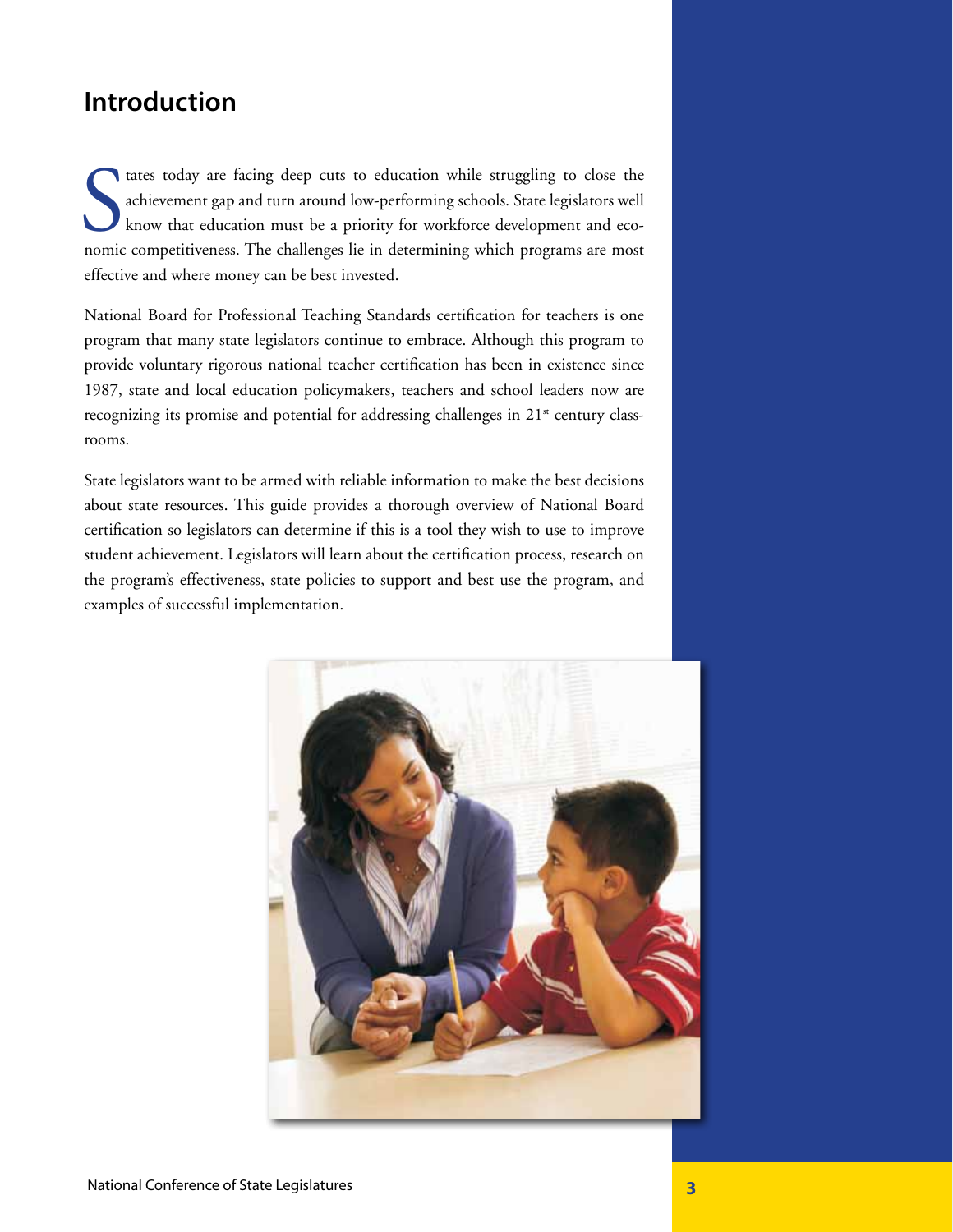### **Introduction**

tates today are facing deep cuts to education while struggling to close the achievement gap and turn around low-performing schools. State legislators well know that education must be a priority for workforce development an tates today are facing deep cuts to education while struggling to close the achievement gap and turn around low-performing schools. State legislators well know that education must be a priority for workforce development and ecoeffective and where money can be best invested.

National Board for Professional Teaching Standards certification for teachers is one program that many state legislators continue to embrace. Although this program to provide voluntary rigorous national teacher certification has been in existence since 1987, state and local education policymakers, teachers and school leaders now are recognizing its promise and potential for addressing challenges in  $21<sup>st</sup>$  century classrooms.

State legislators want to be armed with reliable information to make the best decisions about state resources. This guide provides a thorough overview of National Board certification so legislators can determine if this is a tool they wish to use to improve student achievement. Legislators will learn about the certification process, research on the program's effectiveness, state policies to support and best use the program, and examples of successful implementation.

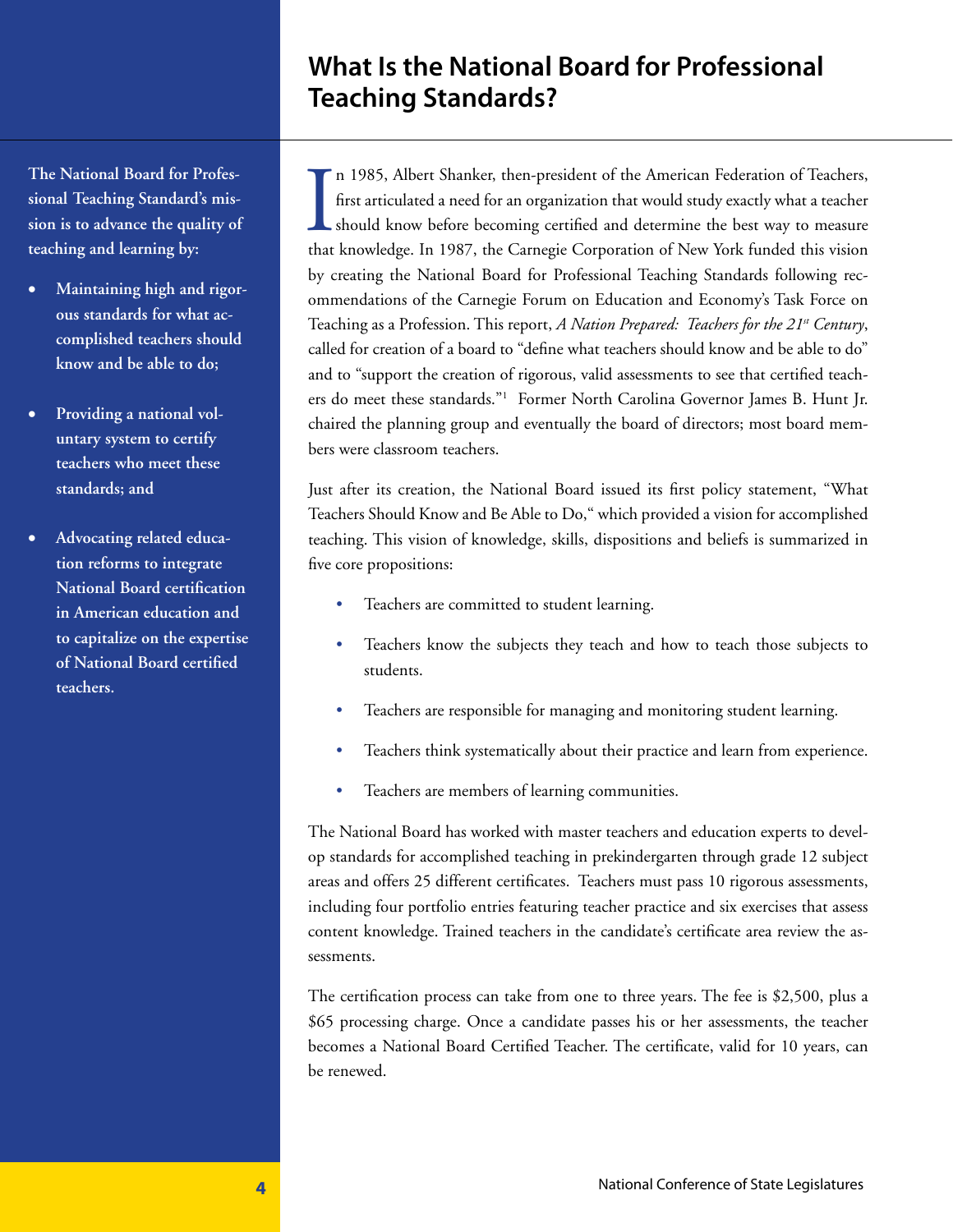## **What Is the National Board for Professional Teaching Standards?**

**The National Board for Professional Teaching Standard's mission is to advance the quality of teaching and learning by:**

- Maintaining high and rigor**ous standards for what accomplished teachers should know and be able to do;**
- Providing a national vol**untary system to certify teachers who meet these standards; and**
- Advocating related educa**tion reforms to integrate National Board certification in American education and to capitalize on the expertise of National Board certified teachers.**

In 1985, Albert Shanker, then-president of the American Federation of Teachers, first articulated a need for an organization that would study exactly what a teacher should know before becoming certified and determine the b n 1985, Albert Shanker, then-president of the American Federation of Teachers, first articulated a need for an organization that would study exactly what a teacher should know before becoming certified and determine the best way to measure by creating the National Board for Professional Teaching Standards following recommendations of the Carnegie Forum on Education and Economy's Task Force on Teaching as a Profession. This report, *A Nation Prepared: Teachers for the 21st Century*, called for creation of a board to "define what teachers should know and be able to do" and to "support the creation of rigorous, valid assessments to see that certified teachers do meet these standards."1 Former North Carolina Governor James B. Hunt Jr. chaired the planning group and eventually the board of directors; most board members were classroom teachers.

Just after its creation, the National Board issued its first policy statement, "What Teachers Should Know and Be Able to Do," which provided a vision for accomplished teaching. This vision of knowledge, skills, dispositions and beliefs is summarized in five core propositions:

- Teachers are committed to student learning.
- Teachers know the subjects they teach and how to teach those subjects to students.
- Teachers are responsible for managing and monitoring student learning.
- Teachers think systematically about their practice and learn from experience.
- Teachers are members of learning communities.

The National Board has worked with master teachers and education experts to develop standards for accomplished teaching in prekindergarten through grade 12 subject areas and offers 25 different certificates. Teachers must pass 10 rigorous assessments, including four portfolio entries featuring teacher practice and six exercises that assess content knowledge. Trained teachers in the candidate's certificate area review the assessments.

The certification process can take from one to three years. The fee is \$2,500, plus a \$65 processing charge. Once a candidate passes his or her assessments, the teacher becomes a National Board Certified Teacher. The certificate, valid for 10 years, can be renewed.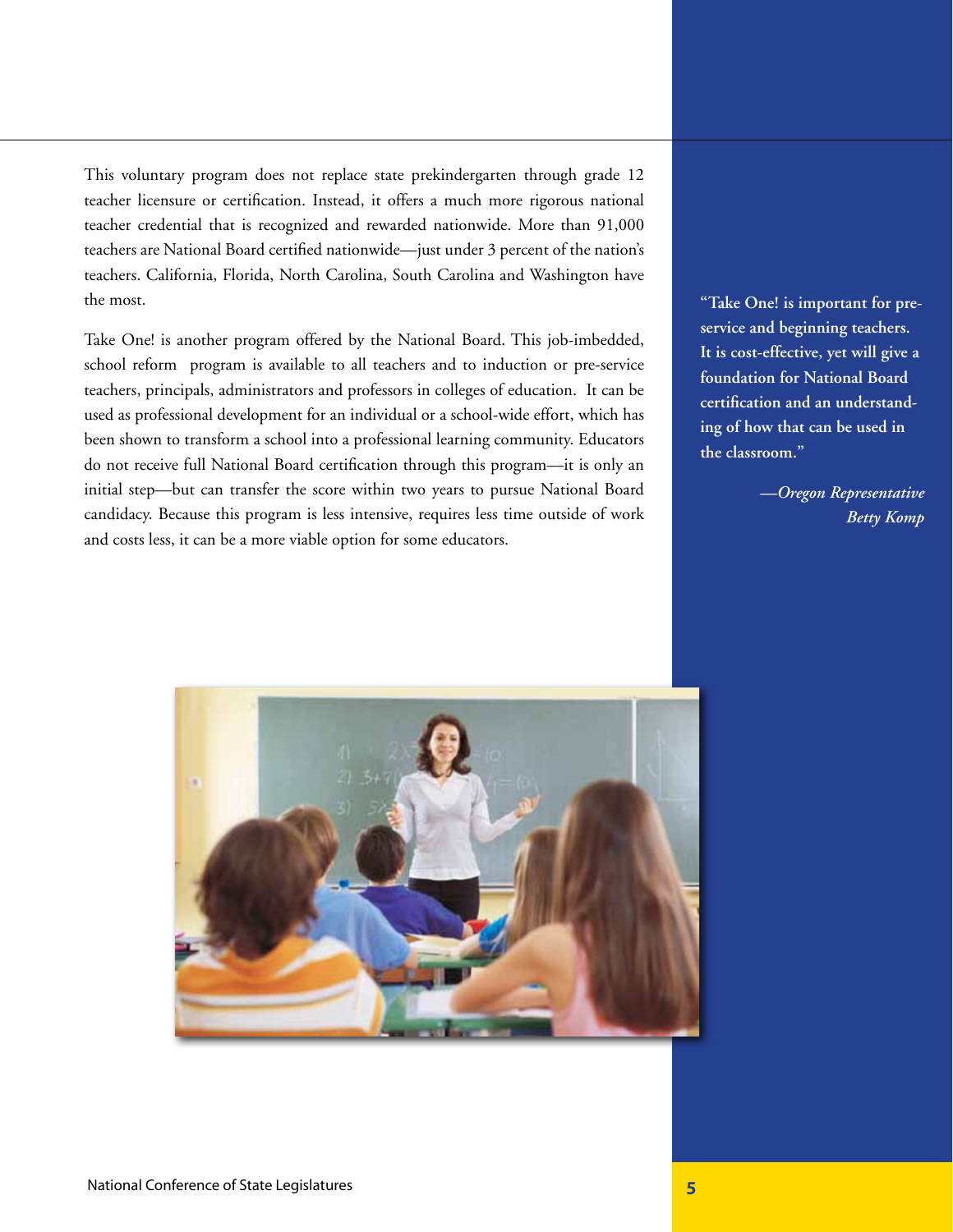This voluntary program does not replace state prekindergarten through grade 12 teacher licensure or certification. Instead, it offers a much more rigorous national teacher credential that is recognized and rewarded nationwide. More than 91,000 teachers are National Board certified nationwide—just under 3 percent of the nation's teachers. California, Florida, North Carolina, South Carolina and Washington have the most.

Take One! is another program offered by the National Board. This job-imbedded, school reform program is available to all teachers and to induction or pre-service teachers, principals, administrators and professors in colleges of education. It can be used as professional development for an individual or a school-wide effort, which has been shown to transform a school into a professional learning community. Educators do not receive full National Board certification through this program—it is only an initial step—but can transfer the score within two years to pursue National Board candidacy. Because this program is less intensive, requires less time outside of work and costs less, it can be a more viable option for some educators.

**"Take One! is important for preservice and beginning teachers. It is cost-effective, yet will give a foundation for National Board certification and an understanding of how that can be used in the classroom."**

> *—Oregon Representative Betty Komp*

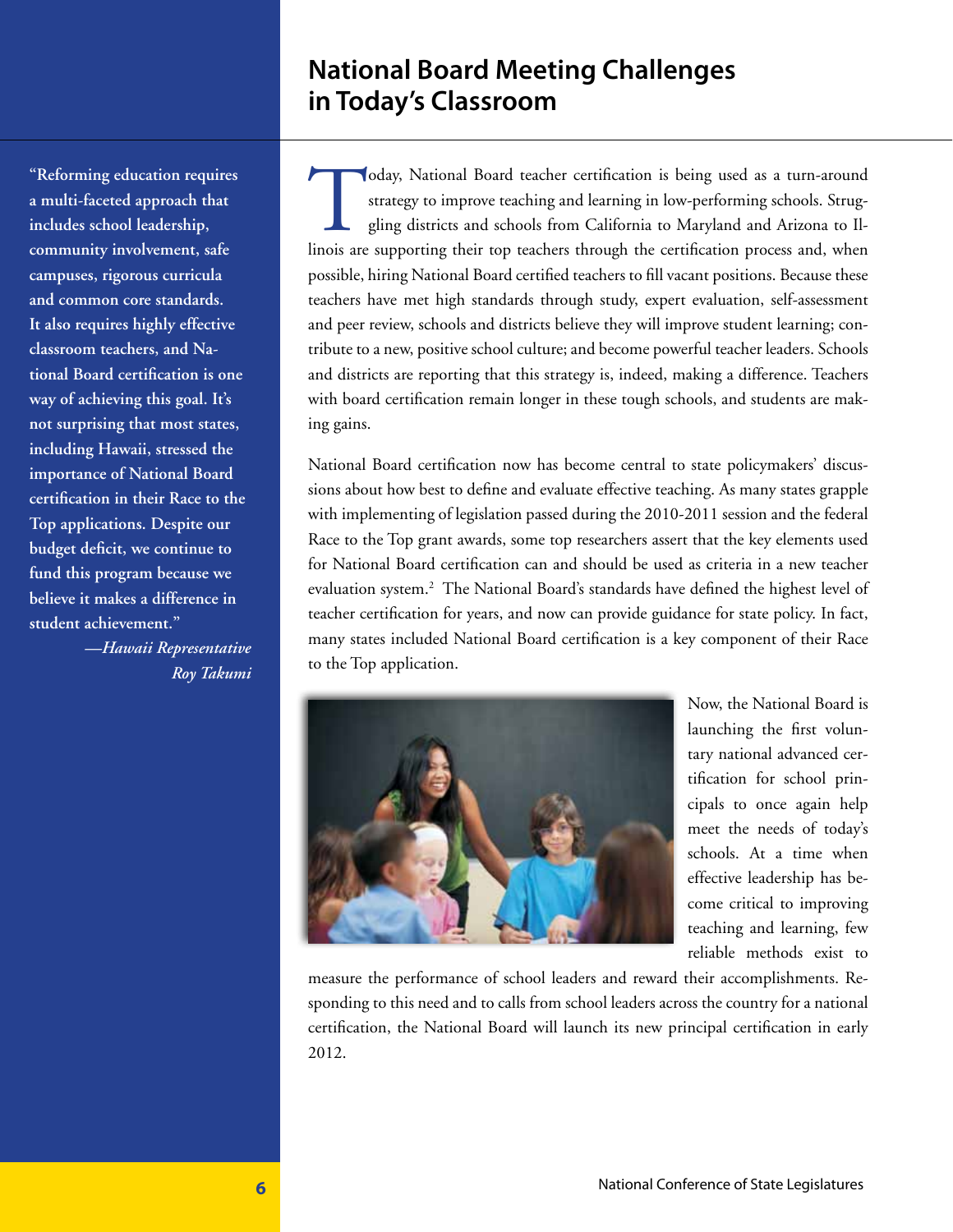## **National Board Meeting Challenges in Today's Classroom**

Today, National Board teacher certification is being used as a turn-around<br>strategy to improve teaching and learning in low-performing schools. Strug-<br>gling districts and schools from California to Maryland and Arizona to strategy to improve teaching and learning in low-performing schools. Struggling districts and schools from California to Maryland and Arizona to Illinois are supporting their top teachers through the certification process and, when possible, hiring National Board certified teachers to fill vacant positions. Because these teachers have met high standards through study, expert evaluation, self-assessment and peer review, schools and districts believe they will improve student learning; contribute to a new, positive school culture; and become powerful teacher leaders. Schools and districts are reporting that this strategy is, indeed, making a difference. Teachers with board certification remain longer in these tough schools, and students are making gains.

National Board certification now has become central to state policymakers' discussions about how best to define and evaluate effective teaching. As many states grapple with implementing of legislation passed during the 2010-2011 session and the federal Race to the Top grant awards, some top researchers assert that the key elements used for National Board certification can and should be used as criteria in a new teacher evaluation system.<sup>2</sup> The National Board's standards have defined the highest level of teacher certification for years, and now can provide guidance for state policy. In fact, many states included National Board certification is a key component of their Race to the Top application.



Now, the National Board is launching the first voluntary national advanced certification for school principals to once again help meet the needs of today's schools. At a time when effective leadership has become critical to improving teaching and learning, few reliable methods exist to

measure the performance of school leaders and reward their accomplishments. Responding to this need and to calls from school leaders across the country for a national certification, the National Board will launch its new principal certification in early 2012.

**"Reforming education requires a multi-faceted approach that includes school leadership, community involvement, safe campuses, rigorous curricula and common core standards. It also requires highly effective classroom teachers, and National Board certification is one way of achieving this goal. It's not surprising that most states, including Hawaii, stressed the importance of National Board certification in their Race to the Top applications. Despite our budget deficit, we continue to fund this program because we believe it makes a difference in student achievement."** 

*—Hawaii Representative Roy Takumi*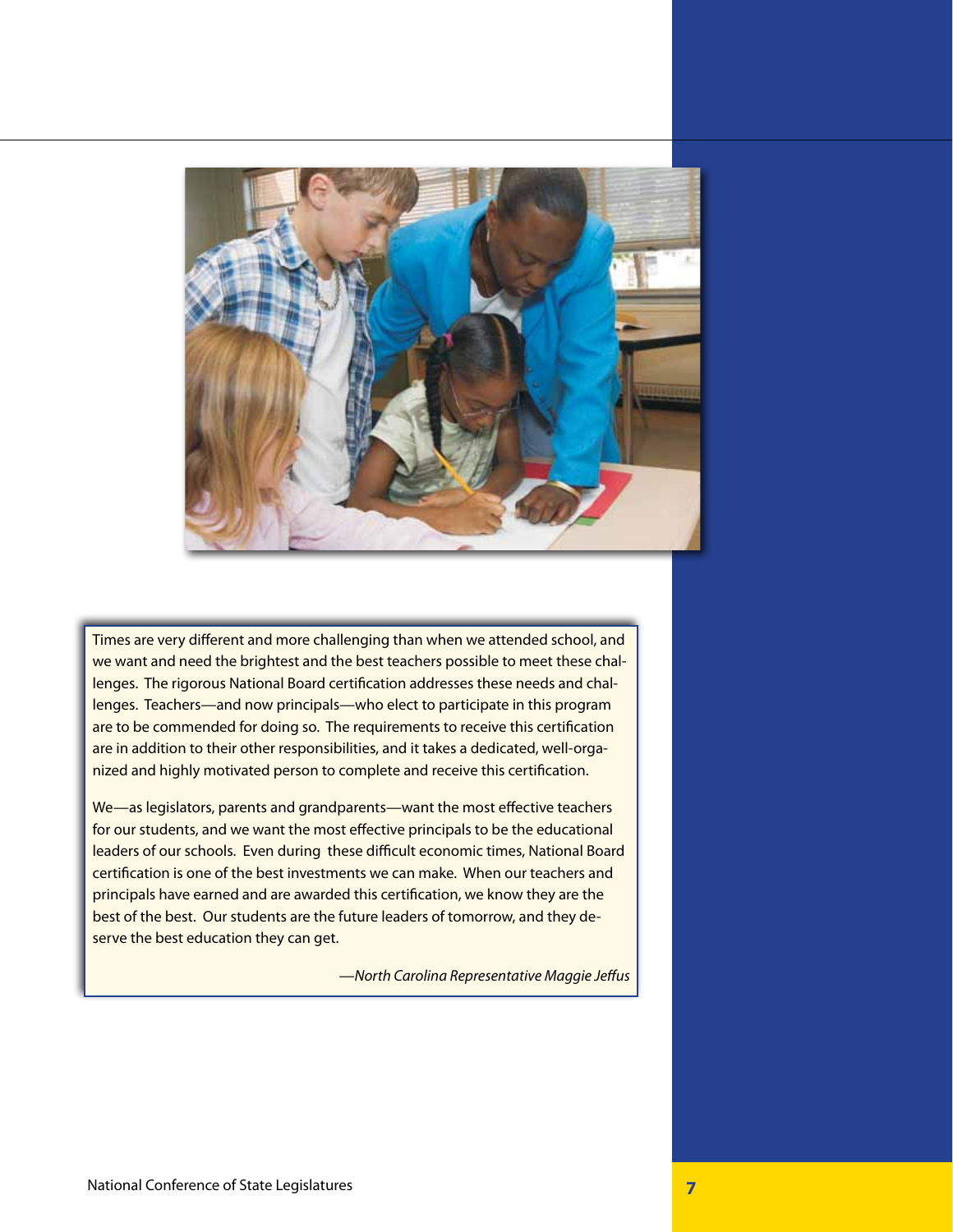

Times are very different and more challenging than when we attended school, and we want and need the brightest and the best teachers possible to meet these challenges. The rigorous National Board certification addresses these needs and challenges. Teachers—and now principals—who elect to participate in this program are to be commended for doing so. The requirements to receive this certification are in addition to their other responsibilities, and it takes a dedicated, well-organized and highly motivated person to complete and receive this certification.

We—as legislators, parents and grandparents—want the most effective teachers for our students, and we want the most effective principals to be the educational leaders of our schools. Even during these difficult economic times, National Board certification is one of the best investments we can make. When our teachers and principals have earned and are awarded this certification, we know they are the best of the best. Our students are the future leaders of tomorrow, and they deserve the best education they can get.

*—North Carolina Representative Maggie Jeffus*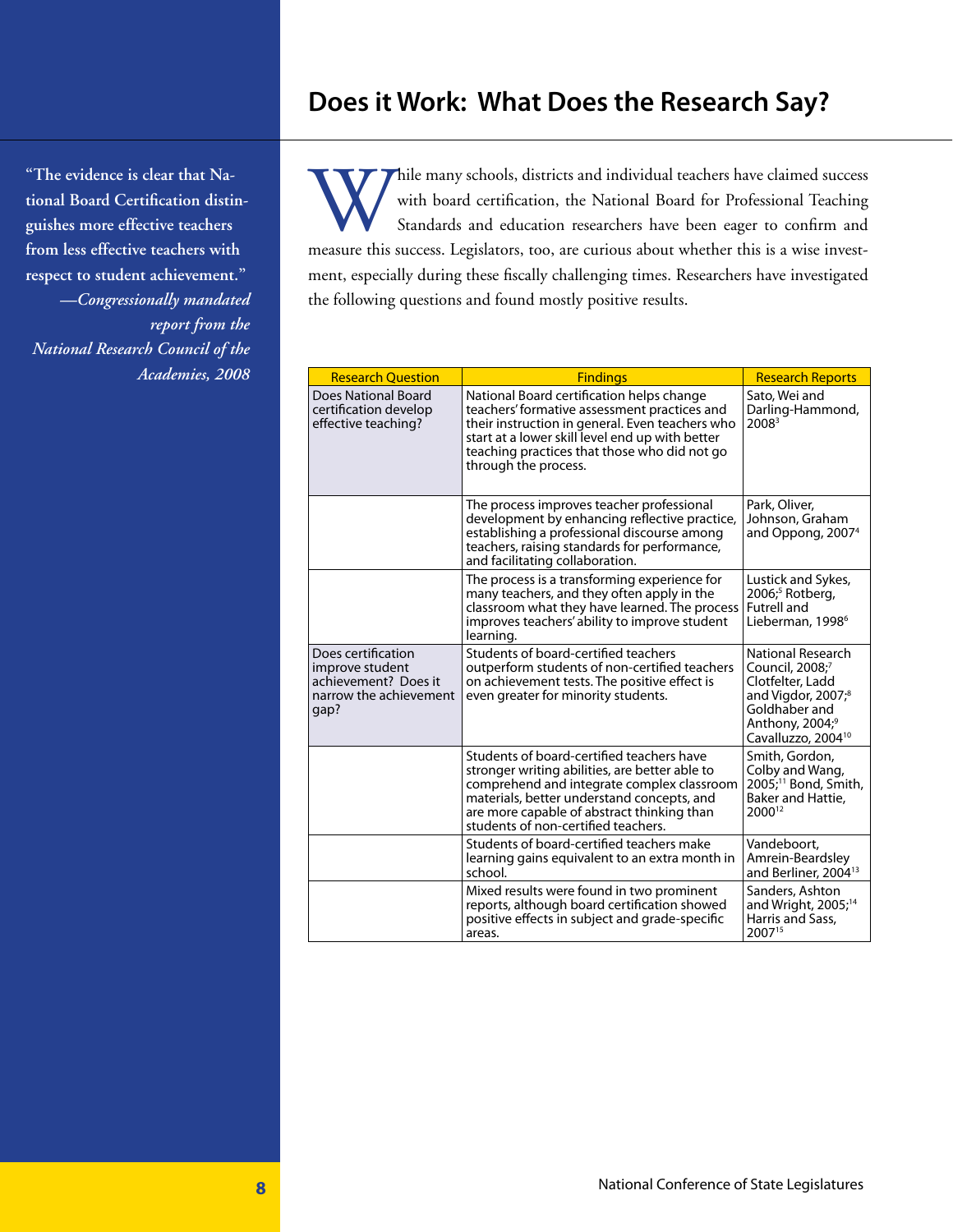## **Does it Work: What Does the Research Say?**

**"The evidence is clear that National Board Certification distinguishes more effective teachers from less effective teachers with respect to student achievement."**  *—Congressionally mandated report from the National Research Council of the Academies, 2008*

While many schools, districts and individual teachers have claimed success<br>with board certification, the National Board for Professional Teaching<br>Standards and education researchers have been eager to confirm and<br>measure t with board certification, the National Board for Professional Teaching Standards and education researchers have been eager to confirm and measure this success. Legislators, too, are curious about whether this is a wise investment, especially during these fiscally challenging times. Researchers have investigated the following questions and found mostly positive results.

| <b>Research Question</b>                                                                        | <b>Findings</b>                                                                                                                                                                                                                                                              | <b>Research Reports</b>                                                                                                                                                      |
|-------------------------------------------------------------------------------------------------|------------------------------------------------------------------------------------------------------------------------------------------------------------------------------------------------------------------------------------------------------------------------------|------------------------------------------------------------------------------------------------------------------------------------------------------------------------------|
| <b>Does National Board</b><br>certification develop<br>effective teaching?                      | National Board certification helps change<br>teachers' formative assessment practices and<br>their instruction in general. Even teachers who<br>start at a lower skill level end up with better<br>teaching practices that those who did not go<br>through the process.      | Sato, Wei and<br>Darling-Hammond,<br>2008 <sup>3</sup>                                                                                                                       |
|                                                                                                 | The process improves teacher professional<br>development by enhancing reflective practice,<br>establishing a professional discourse among<br>teachers, raising standards for performance,<br>and facilitating collaboration.                                                 | Park, Oliver,<br>Johnson, Graham<br>and Oppong, 2007 <sup>4</sup>                                                                                                            |
|                                                                                                 | The process is a transforming experience for<br>many teachers, and they often apply in the<br>classroom what they have learned. The process<br>improves teachers' ability to improve student<br>learning.                                                                    | Lustick and Sykes,<br>$2006$ ; <sup>5</sup> Rotberg,<br>Futrell and<br>Lieberman, 1998 <sup>6</sup>                                                                          |
| Does certification<br>improve student<br>achievement? Does it<br>narrow the achievement<br>gap? | Students of board-certified teachers<br>outperform students of non-certified teachers<br>on achievement tests. The positive effect is<br>even greater for minority students.                                                                                                 | National Research<br>Council, 2008;7<br>Clotfelter, Ladd<br>and Vigdor, 2007; <sup>8</sup><br>Goldhaber and<br>Anthony, 2004; <sup>9</sup><br>Cavalluzzo, 2004 <sup>10</sup> |
|                                                                                                 | Students of board-certified teachers have<br>stronger writing abilities, are better able to<br>comprehend and integrate complex classroom<br>materials, better understand concepts, and<br>are more capable of abstract thinking than<br>students of non-certified teachers. | Smith, Gordon,<br>Colby and Wang,<br>2005; <sup>11</sup> Bond, Smith,<br>Baker and Hattie,<br>2000 <sup>12</sup>                                                             |
|                                                                                                 | Students of board-certified teachers make<br>learning gains equivalent to an extra month in<br>school.                                                                                                                                                                       | Vandeboort,<br>Amrein-Beardsley<br>and Berliner, 2004 <sup>13</sup>                                                                                                          |
|                                                                                                 | Mixed results were found in two prominent<br>reports, although board certification showed<br>positive effects in subject and grade-specific<br>areas.                                                                                                                        | Sanders, Ashton<br>and Wright, 2005; <sup>14</sup><br>Harris and Sass,<br>200715                                                                                             |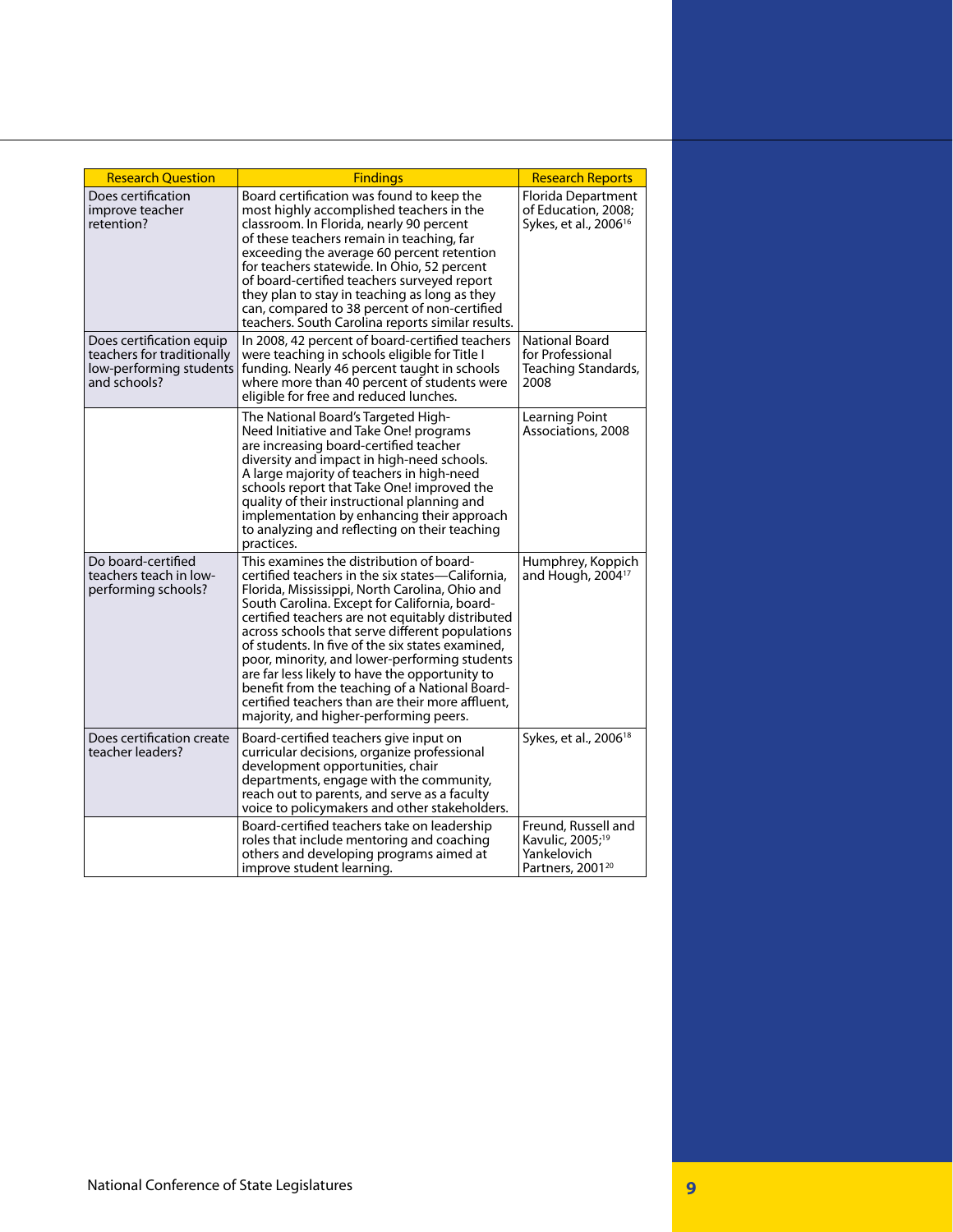| <b>Research Question</b>                                                                          | <b>Findings</b>                                                                                                                                                                                                                                                                                                                                                                                                                                                                                                                                                                                               | <b>Research Reports</b>                                                                            |
|---------------------------------------------------------------------------------------------------|---------------------------------------------------------------------------------------------------------------------------------------------------------------------------------------------------------------------------------------------------------------------------------------------------------------------------------------------------------------------------------------------------------------------------------------------------------------------------------------------------------------------------------------------------------------------------------------------------------------|----------------------------------------------------------------------------------------------------|
| Does certification<br>improve teacher<br>retention?                                               | Board certification was found to keep the<br>most highly accomplished teachers in the<br>classroom. In Florida, nearly 90 percent<br>of these teachers remain in teaching, far<br>exceeding the average 60 percent retention<br>for teachers statewide. In Ohio, 52 percent<br>of board-certified teachers surveyed report<br>they plan to stay in teaching as long as they<br>can, compared to 38 percent of non-certified<br>teachers. South Carolina reports similar results.                                                                                                                              | Florida Department<br>of Education, 2008;<br>Sykes, et al., 2006 <sup>16</sup>                     |
| Does certification equip<br>teachers for traditionally<br>low-performing students<br>and schools? | In 2008, 42 percent of board-certified teachers<br>were teaching in schools eligible for Title I<br>funding. Nearly 46 percent taught in schools<br>where more than 40 percent of students were<br>eligible for free and reduced lunches.                                                                                                                                                                                                                                                                                                                                                                     | <b>National Board</b><br>for Professional<br>Teaching Standards,<br>2008                           |
|                                                                                                   | The National Board's Targeted High-<br>Need Initiative and Take One! programs<br>are increasing board-certified teacher<br>diversity and impact in high-need schools.<br>A large majority of teachers in high-need<br>schools report that Take One! improved the<br>quality of their instructional planning and<br>implementation by enhancing their approach<br>to analyzing and reflecting on their teaching<br>practices.                                                                                                                                                                                  | Learning Point<br>Associations, 2008                                                               |
| Do board-certified<br>teachers teach in low-<br>performing schools?                               | This examines the distribution of board-<br>certified teachers in the six states—California,<br>Florida, Mississippi, North Carolina, Ohio and<br>South Carolina. Except for California, board-<br>certified teachers are not equitably distributed<br>across schools that serve different populations<br>of students. In five of the six states examined.<br>poor, minority, and lower-performing students<br>are far less likely to have the opportunity to<br>benefit from the teaching of a National Board-<br>certified teachers than are their more affluent.<br>majority, and higher-performing peers. | Humphrey, Koppich<br>and Hough, 2004 <sup>17</sup>                                                 |
| Does certification create<br>teacher leaders?                                                     | Board-certified teachers give input on<br>curricular decisions, organize professional<br>development opportunities, chair<br>departments, engage with the community,<br>reach out to parents, and serve as a faculty<br>voice to policymakers and other stakeholders.                                                                                                                                                                                                                                                                                                                                         | Sykes, et al., 2006 <sup>18</sup>                                                                  |
|                                                                                                   | Board-certified teachers take on leadership<br>roles that include mentoring and coaching<br>others and developing programs aimed at<br>improve student learning.                                                                                                                                                                                                                                                                                                                                                                                                                                              | Freund, Russell and<br>Kavulic, 2005; <sup>19</sup><br>Yankelovich<br>Partners, 2001 <sup>20</sup> |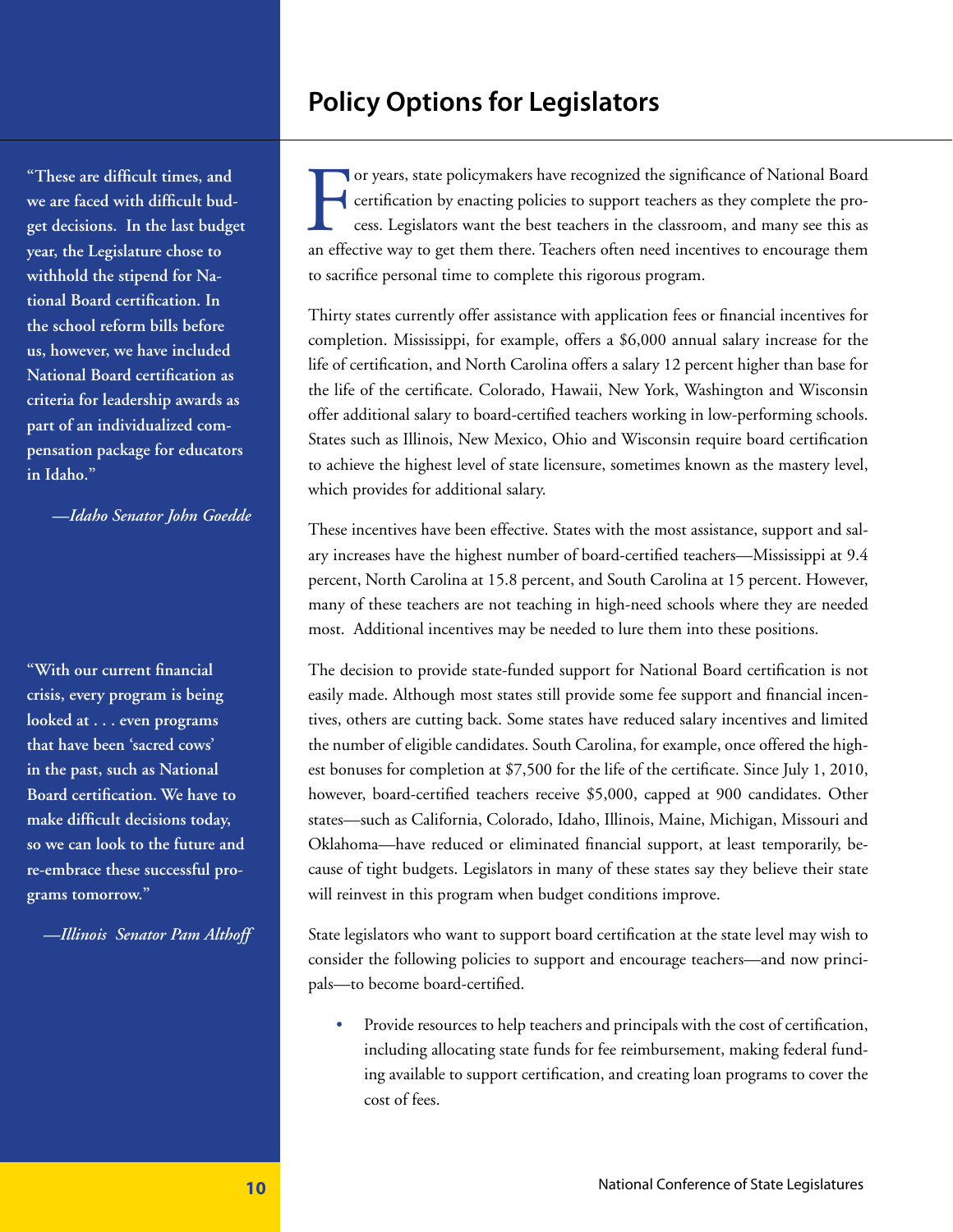## **Policy Options for Legislators**

**"These are difficult times, and we are faced with difficult budget decisions. In the last budget year, the Legislature chose to withhold the stipend for National Board certification. In the school reform bills before us, however, we have included National Board certification as criteria for leadership awards as part of an individualized compensation package for educators in Idaho."**

*—Idaho Senator John Goedde*

**"With our current financial crisis, every program is being looked at . . . even programs that have been 'sacred cows' in the past, such as National Board certification. We have to make difficult decisions today, so we can look to the future and re-embrace these successful programs tomorrow."** 

*—Illinois Senator Pam Althoff*

For years, state policymakers have recognized the significance of National Board certification by enacting policies to support teachers as they complete the process. Legislators want the best teachers in the classroom, and or years, state policymakers have recognized the significance of National Board certification by enacting policies to support teachers as they complete the process. Legislators want the best teachers in the classroom, and many see this as to sacrifice personal time to complete this rigorous program.

Thirty states currently offer assistance with application fees or financial incentives for completion. Mississippi, for example, offers a \$6,000 annual salary increase for the life of certification, and North Carolina offers a salary 12 percent higher than base for the life of the certificate. Colorado, Hawaii, New York, Washington and Wisconsin offer additional salary to board-certified teachers working in low-performing schools. States such as Illinois, New Mexico, Ohio and Wisconsin require board certification to achieve the highest level of state licensure, sometimes known as the mastery level, which provides for additional salary.

These incentives have been effective. States with the most assistance, support and salary increases have the highest number of board-certified teachers—Mississippi at 9.4 percent, North Carolina at 15.8 percent, and South Carolina at 15 percent. However, many of these teachers are not teaching in high-need schools where they are needed most. Additional incentives may be needed to lure them into these positions.

The decision to provide state-funded support for National Board certification is not easily made. Although most states still provide some fee support and financial incentives, others are cutting back. Some states have reduced salary incentives and limited the number of eligible candidates. South Carolina, for example, once offered the highest bonuses for completion at \$7,500 for the life of the certificate. Since July 1, 2010, however, board-certified teachers receive \$5,000, capped at 900 candidates. Other states—such as California, Colorado, Idaho, Illinois, Maine, Michigan, Missouri and Oklahoma—have reduced or eliminated financial support, at least temporarily, because of tight budgets. Legislators in many of these states say they believe their state will reinvest in this program when budget conditions improve.

State legislators who want to support board certification at the state level may wish to consider the following policies to support and encourage teachers—and now principals—to become board-certified.

• Provide resources to help teachers and principals with the cost of certification, including allocating state funds for fee reimbursement, making federal funding available to support certification, and creating loan programs to cover the cost of fees.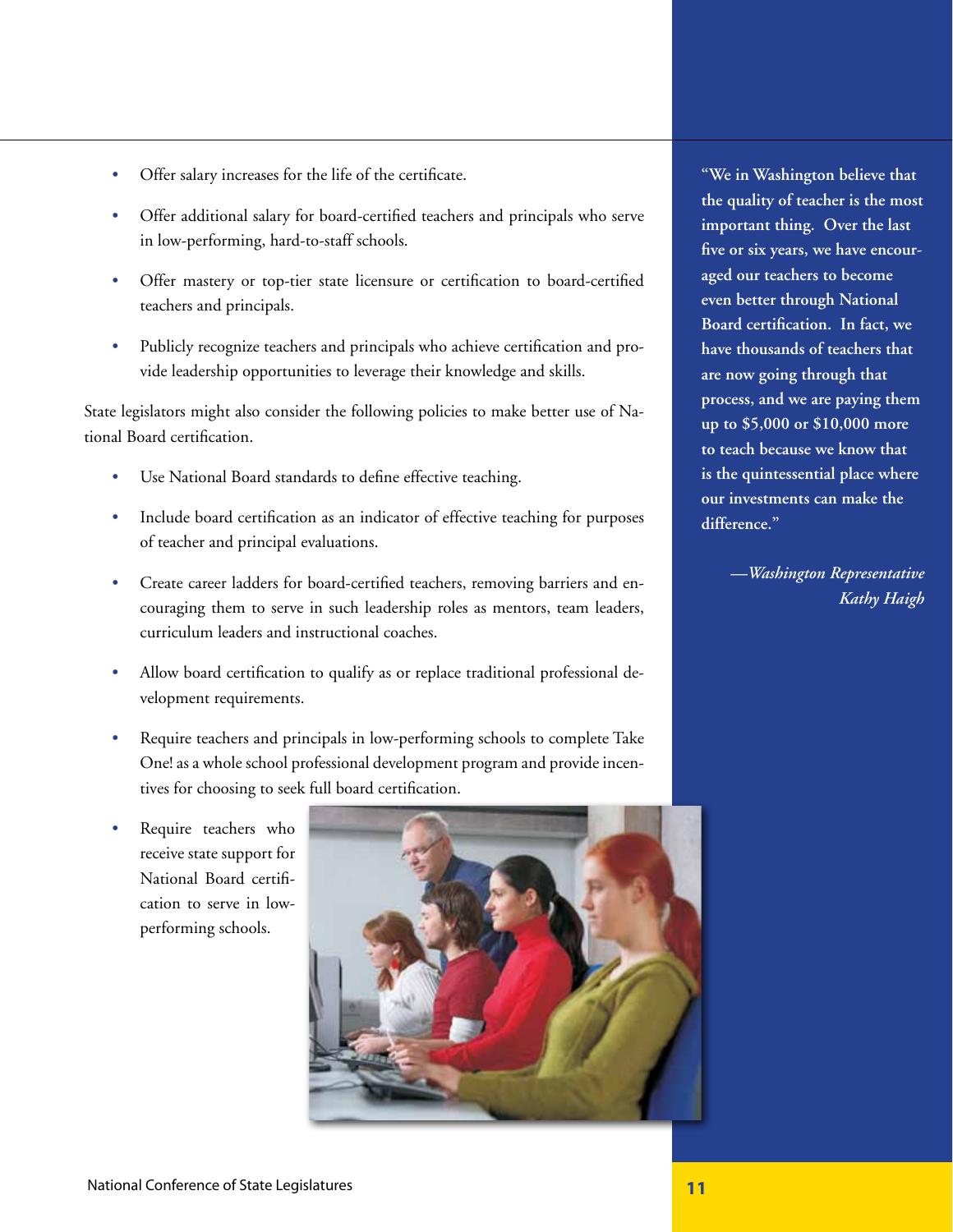- Offer salary increases for the life of the certificate.
- Offer additional salary for board-certified teachers and principals who serve in low-performing, hard-to-staff schools.
- Offer mastery or top-tier state licensure or certification to board-certified teachers and principals.
- Publicly recognize teachers and principals who achieve certification and provide leadership opportunities to leverage their knowledge and skills.

State legislators might also consider the following policies to make better use of National Board certification.

- Use National Board standards to define effective teaching.
- Include board certification as an indicator of effective teaching for purposes of teacher and principal evaluations.
- Create career ladders for board-certified teachers, removing barriers and encouraging them to serve in such leadership roles as mentors, team leaders, curriculum leaders and instructional coaches.
- Allow board certification to qualify as or replace traditional professional development requirements.
- Require teachers and principals in low-performing schools to complete Take One! as a whole school professional development program and provide incentives for choosing to seek full board certification.
- Require teachers who receive state support for National Board certification to serve in lowperforming schools.



**"We in Washington believe that the quality of teacher is the most important thing. Over the last five or six years, we have encouraged our teachers to become even better through National Board certification. In fact, we have thousands of teachers that are now going through that process, and we are paying them up to \$5,000 or \$10,000 more to teach because we know that is the quintessential place where our investments can make the difference."** 

> *—Washington Representative Kathy Haigh*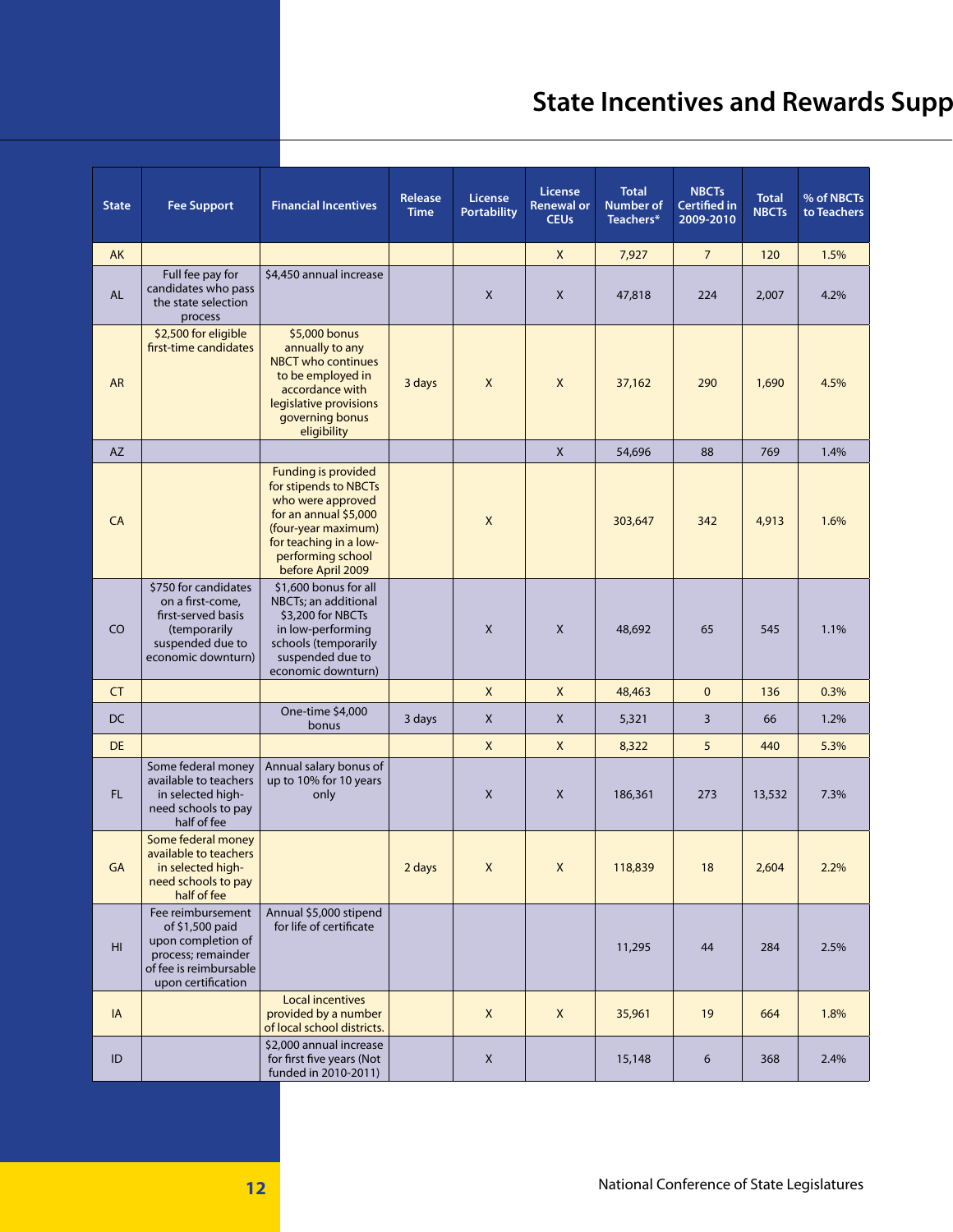# **State Incentives and Rewards Supp**

| <b>State</b>           | <b>Fee Support</b>                                                                                                               | <b>Financial Incentives</b>                                                                                                                                                                  | Release<br><b>Time</b> | <b>License</b><br><b>Portability</b> | <b>License</b><br><b>Renewal or</b><br><b>CEUs</b> | <b>Total</b><br><b>Number of</b><br>Teachers* | <b>NBCTs</b><br><b>Certified in</b><br>2009-2010 | <b>Total</b><br><b>NBCTs</b> | % of NBCTs<br>to Teachers |
|------------------------|----------------------------------------------------------------------------------------------------------------------------------|----------------------------------------------------------------------------------------------------------------------------------------------------------------------------------------------|------------------------|--------------------------------------|----------------------------------------------------|-----------------------------------------------|--------------------------------------------------|------------------------------|---------------------------|
| AK                     |                                                                                                                                  |                                                                                                                                                                                              |                        |                                      | X                                                  | 7,927                                         | $\overline{7}$                                   | 120                          | 1.5%                      |
| <b>AL</b>              | Full fee pay for<br>candidates who pass<br>the state selection<br>process                                                        | \$4,450 annual increase                                                                                                                                                                      |                        | X                                    | X                                                  | 47,818                                        | 224                                              | 2,007                        | 4.2%                      |
| <b>AR</b>              | \$2,500 for eligible<br>first-time candidates                                                                                    | \$5,000 bonus<br>annually to any<br><b>NBCT</b> who continues<br>to be employed in<br>accordance with<br>legislative provisions<br>governing bonus<br>eligibility                            | 3 days                 | $\pmb{\times}$                       | $\mathsf{x}$                                       | 37,162                                        | 290                                              | 1,690                        | 4.5%                      |
| <b>AZ</b>              |                                                                                                                                  |                                                                                                                                                                                              |                        |                                      | $\mathsf X$                                        | 54,696                                        | 88                                               | 769                          | 1.4%                      |
| CA                     |                                                                                                                                  | <b>Funding is provided</b><br>for stipends to NBCTs<br>who were approved<br>for an annual \$5,000<br>(four-year maximum)<br>for teaching in a low-<br>performing school<br>before April 2009 |                        | X                                    |                                                    | 303,647                                       | 342                                              | 4,913                        | 1.6%                      |
| CO                     | \$750 for candidates<br>on a first-come.<br>first-served basis<br>(temporarily<br>suspended due to<br>economic downturn)         | \$1,600 bonus for all<br>NBCTs; an additional<br>\$3,200 for NBCTs<br>in low-performing<br>schools (temporarily<br>suspended due to<br>economic downturn)                                    |                        | X                                    | X                                                  | 48,692                                        | 65                                               | 545                          | 1.1%                      |
| <b>CT</b>              |                                                                                                                                  |                                                                                                                                                                                              |                        | X                                    | $\mathsf{x}$                                       | 48,463                                        | $\mathbf{0}$                                     | 136                          | 0.3%                      |
| DC                     |                                                                                                                                  | One-time \$4,000<br>bonus                                                                                                                                                                    | 3 days                 | X                                    | $\mathsf{X}$                                       | 5,321                                         | 3                                                | 66                           | 1.2%                      |
| <b>DE</b>              |                                                                                                                                  |                                                                                                                                                                                              |                        | $\mathsf{X}$                         | X                                                  | 8,322                                         | 5                                                | 440                          | 5.3%                      |
| FL.                    | Some federal money<br>available to teachers<br>in selected high-<br>need schools to pay<br>half of fee                           | Annual salary bonus of<br>up to 10% for 10 years<br>only                                                                                                                                     |                        | X                                    | X                                                  | 186,361                                       | 273                                              | 13,532                       | 7.3%                      |
| GA                     | Some federal money<br>available to teachers<br>in selected high-<br>need schools to pay<br>half of fee                           |                                                                                                                                                                                              | 2 days                 | $\mathsf X$                          | $\mathsf X$                                        | 118,839                                       | 18                                               | 2,604                        | 2.2%                      |
| $\mathsf{H}\mathsf{I}$ | Fee reimbursement<br>of \$1,500 paid<br>upon completion of<br>process; remainder<br>of fee is reimbursable<br>upon certification | Annual \$5,000 stipend<br>for life of certificate                                                                                                                                            |                        |                                      |                                                    | 11,295                                        | 44                                               | 284                          | 2.5%                      |
| IA                     |                                                                                                                                  | <b>Local incentives</b><br>provided by a number<br>of local school districts.                                                                                                                |                        | X                                    | $\mathsf{X}$                                       | 35,961                                        | 19                                               | 664                          | 1.8%                      |
| ID                     |                                                                                                                                  | \$2,000 annual increase<br>for first five years (Not<br>funded in 2010-2011)                                                                                                                 |                        | X                                    |                                                    | 15,148                                        | 6                                                | 368                          | 2.4%                      |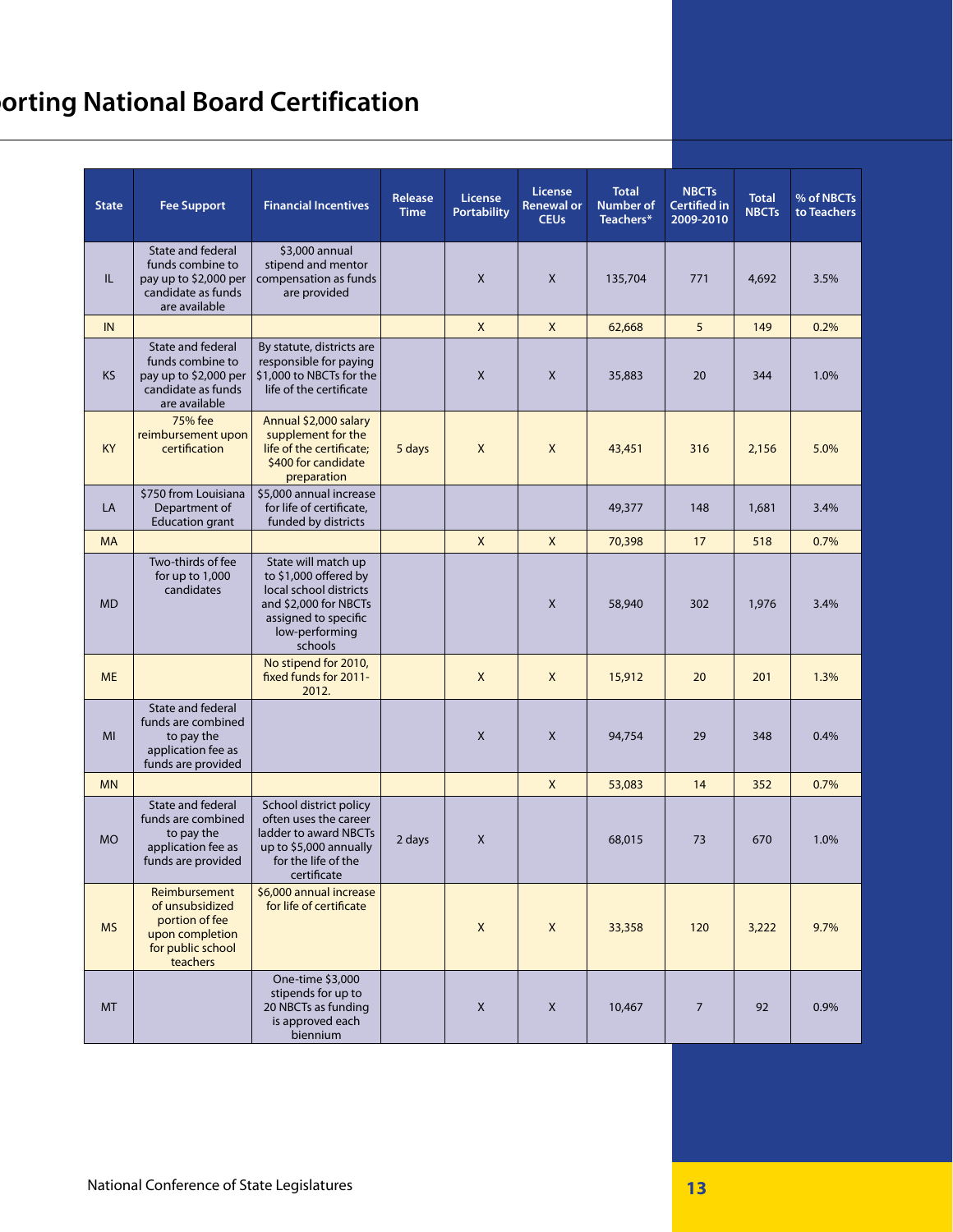# **Sorting National Board Certification**

| <b>State</b> | <b>Fee Support</b>                                                                                           | <b>Financial Incentives</b>                                                                                                                          | Release<br><b>Time</b> | <b>License</b><br><b>Portability</b> | License<br><b>Renewal or</b><br><b>CEUs</b> | <b>Total</b><br><b>Number of</b><br>Teachers* | <b>NBCTs</b><br><b>Certified in</b><br>2009-2010 | <b>Total</b><br><b>NBCTs</b> | % of NBCTs<br>to Teachers |
|--------------|--------------------------------------------------------------------------------------------------------------|------------------------------------------------------------------------------------------------------------------------------------------------------|------------------------|--------------------------------------|---------------------------------------------|-----------------------------------------------|--------------------------------------------------|------------------------------|---------------------------|
| IL           | State and federal<br>funds combine to<br>pay up to \$2,000 per<br>candidate as funds<br>are available        | \$3,000 annual<br>stipend and mentor<br>compensation as funds<br>are provided                                                                        |                        | X                                    | $\mathsf{X}$                                | 135,704                                       | 771                                              | 4,692                        | 3.5%                      |
| IN           |                                                                                                              |                                                                                                                                                      |                        | $\mathsf{X}$                         | $\mathsf{X}$                                | 62,668                                        | 5                                                | 149                          | 0.2%                      |
| <b>KS</b>    | <b>State and federal</b><br>funds combine to<br>pay up to \$2,000 per<br>candidate as funds<br>are available | By statute, districts are<br>responsible for paying<br>\$1,000 to NBCTs for the<br>life of the certificate                                           |                        | X                                    | X                                           | 35,883                                        | 20                                               | 344                          | 1.0%                      |
| <b>KY</b>    | 75% fee<br>reimbursement upon<br>certification                                                               | Annual \$2,000 salary<br>supplement for the<br>life of the certificate;<br>\$400 for candidate<br>preparation                                        | 5 days                 | X                                    | $\mathsf{X}$                                | 43,451                                        | 316                                              | 2,156                        | 5.0%                      |
| LA           | \$750 from Louisiana<br>Department of<br><b>Education grant</b>                                              | \$5,000 annual increase<br>for life of certificate,<br>funded by districts                                                                           |                        |                                      |                                             | 49,377                                        | 148                                              | 1,681                        | 3.4%                      |
| <b>MA</b>    |                                                                                                              |                                                                                                                                                      |                        | $\mathsf{X}$                         | $\mathsf{X}$                                | 70,398                                        | 17                                               | 518                          | 0.7%                      |
| <b>MD</b>    | Two-thirds of fee<br>for up to 1,000<br>candidates                                                           | State will match up<br>to \$1,000 offered by<br>local school districts<br>and \$2,000 for NBCTs<br>assigned to specific<br>low-performing<br>schools |                        |                                      | X                                           | 58,940                                        | 302                                              | 1,976                        | 3.4%                      |
| <b>ME</b>    |                                                                                                              | No stipend for 2010,<br>fixed funds for 2011-<br>2012.                                                                                               |                        | X                                    | X                                           | 15,912                                        | 20                                               | 201                          | 1.3%                      |
| MI           | State and federal<br>funds are combined<br>to pay the<br>application fee as<br>funds are provided            |                                                                                                                                                      |                        | X                                    | X                                           | 94,754                                        | 29                                               | 348                          | 0.4%                      |
| <b>MN</b>    |                                                                                                              |                                                                                                                                                      |                        |                                      | $\mathsf{X}$                                | 53,083                                        | 14                                               | 352                          | 0.7%                      |
| <b>MO</b>    | State and federal<br>funds are combined<br>to pay the<br>application fee as<br>funds are provided            | School district policy<br>often uses the career<br>ladder to award NBCTs<br>up to \$5,000 annually<br>for the life of the<br>certificate             | 2 days                 | X                                    |                                             | 68,015                                        | 73                                               | 670                          | 1.0%                      |
| <b>MS</b>    | Reimbursement<br>of unsubsidized<br>portion of fee<br>upon completion<br>for public school<br>teachers       | \$6,000 annual increase<br>for life of certificate                                                                                                   |                        | $\mathsf{X}$                         | $\mathsf X$                                 | 33,358                                        | 120                                              | 3,222                        | 9.7%                      |
| <b>MT</b>    |                                                                                                              | One-time \$3,000<br>stipends for up to<br>20 NBCTs as funding<br>is approved each<br>biennium                                                        |                        | X                                    | X                                           | 10,467                                        | $\overline{7}$                                   | 92                           | 0.9%                      |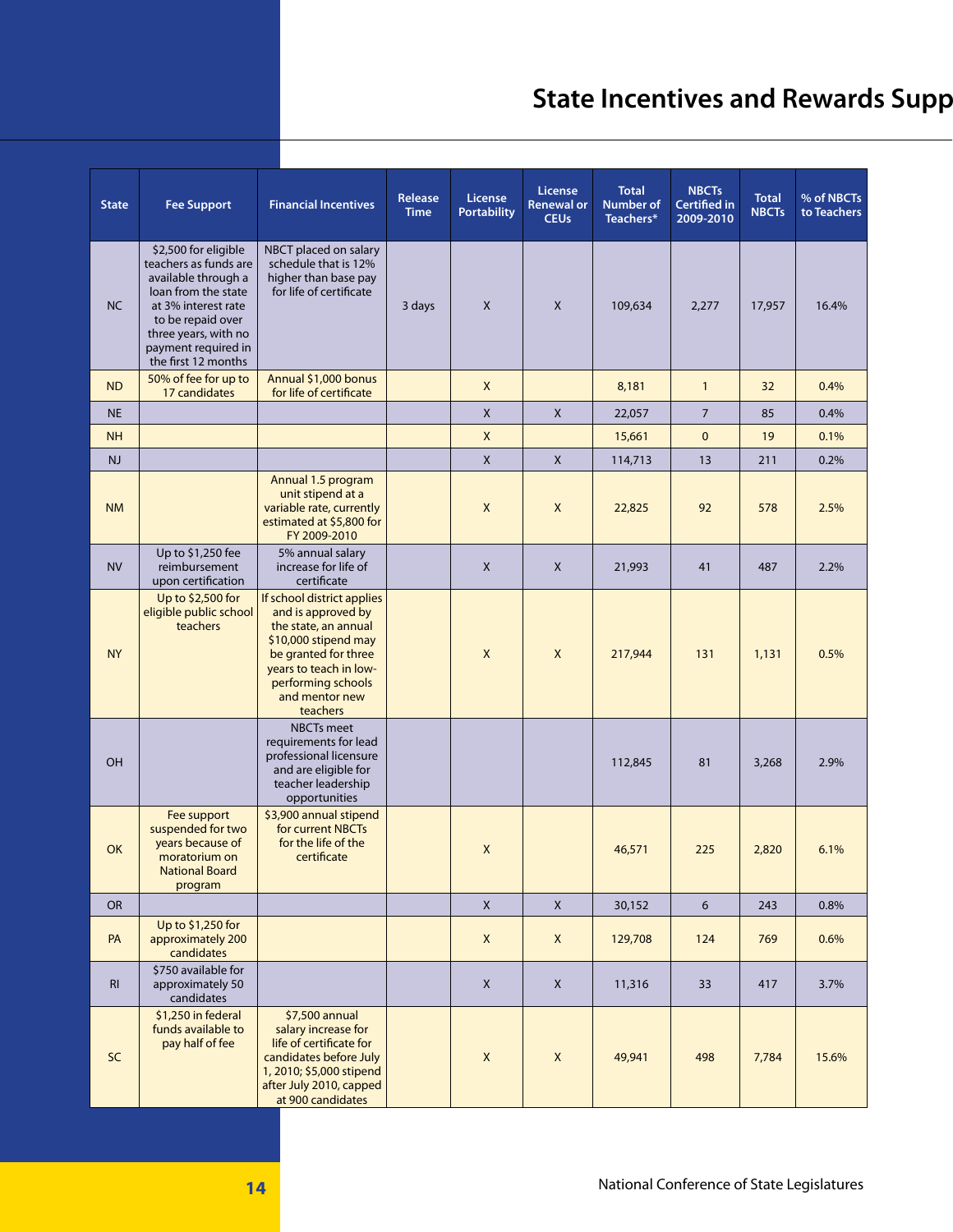# **State Incentives and Rewards Supp**

| <b>State</b>   | <b>Fee Support</b>                                                                                                                                                                                            | <b>Financial Incentives</b>                                                                                                                                                                            | Release<br><b>Time</b> | <b>License</b><br><b>Portability</b> | License<br><b>Renewal or</b><br><b>CEUs</b> | <b>Total</b><br><b>Number of</b><br>Teachers* | <b>NBCTs</b><br><b>Certified in</b><br>2009-2010 | <b>Total</b><br><b>NBCTs</b> | % of NBCTs<br>to Teachers |
|----------------|---------------------------------------------------------------------------------------------------------------------------------------------------------------------------------------------------------------|--------------------------------------------------------------------------------------------------------------------------------------------------------------------------------------------------------|------------------------|--------------------------------------|---------------------------------------------|-----------------------------------------------|--------------------------------------------------|------------------------------|---------------------------|
| NC             | \$2,500 for eligible<br>teachers as funds are<br>available through a<br>loan from the state<br>at 3% interest rate<br>to be repaid over<br>three years, with no<br>payment required in<br>the first 12 months | NBCT placed on salary<br>schedule that is 12%<br>higher than base pay<br>for life of certificate                                                                                                       | 3 days                 | X                                    | $\mathsf{X}$                                | 109,634                                       | 2,277                                            | 17,957                       | 16.4%                     |
| <b>ND</b>      | 50% of fee for up to<br>17 candidates                                                                                                                                                                         | Annual \$1,000 bonus<br>for life of certificate                                                                                                                                                        |                        | X                                    |                                             | 8,181                                         | $\mathbf{1}$                                     | 32                           | 0.4%                      |
| <b>NE</b>      |                                                                                                                                                                                                               |                                                                                                                                                                                                        |                        | $\mathsf{X}$                         | $\mathsf X$                                 | 22,057                                        | $\overline{7}$                                   | 85                           | 0.4%                      |
| <b>NH</b>      |                                                                                                                                                                                                               |                                                                                                                                                                                                        |                        | X                                    |                                             | 15,661                                        | $\mathbf{0}$                                     | 19                           | 0.1%                      |
| NJ             |                                                                                                                                                                                                               |                                                                                                                                                                                                        |                        | $\mathsf{X}$                         | $\mathsf X$                                 | 114,713                                       | 13                                               | 211                          | 0.2%                      |
| <b>NM</b>      |                                                                                                                                                                                                               | Annual 1.5 program<br>unit stipend at a<br>variable rate, currently<br>estimated at \$5,800 for<br>FY 2009-2010                                                                                        |                        | X                                    | X                                           | 22,825                                        | 92                                               | 578                          | 2.5%                      |
| <b>NV</b>      | Up to \$1,250 fee<br>reimbursement<br>upon certification                                                                                                                                                      | 5% annual salary<br>increase for life of<br>certificate                                                                                                                                                |                        | X                                    | X                                           | 21,993                                        | 41                                               | 487                          | 2.2%                      |
| <b>NY</b>      | Up to \$2,500 for<br>eligible public school<br>teachers                                                                                                                                                       | If school district applies<br>and is approved by<br>the state, an annual<br>\$10,000 stipend may<br>be granted for three<br>years to teach in low-<br>performing schools<br>and mentor new<br>teachers |                        | X                                    | $\boldsymbol{\mathsf{X}}$                   | 217,944                                       | 131                                              | 1,131                        | 0.5%                      |
| OH             |                                                                                                                                                                                                               | <b>NBCTs</b> meet<br>requirements for lead<br>professional licensure<br>and are eligible for<br>teacher leadership<br>opportunities                                                                    |                        |                                      |                                             | 112,845                                       | 81                                               | 3,268                        | 2.9%                      |
| <b>OK</b>      | Fee support<br>suspended for two<br>years because of<br>moratorium on<br><b>National Board</b><br>program                                                                                                     | \$3,900 annual stipend<br>for current NBCTs<br>for the life of the<br>certificate                                                                                                                      |                        | $\pmb{\times}$                       |                                             | 46,571                                        | 225                                              | 2,820                        | 6.1%                      |
| <b>OR</b>      |                                                                                                                                                                                                               |                                                                                                                                                                                                        |                        | $\mathsf{X}$                         | $\mathsf X$                                 | 30,152                                        | 6                                                | 243                          | 0.8%                      |
| PA             | Up to \$1,250 for<br>approximately 200<br>candidates                                                                                                                                                          |                                                                                                                                                                                                        |                        | X                                    | $\mathsf{X}$                                | 129,708                                       | 124                                              | 769                          | 0.6%                      |
| R <sub>l</sub> | \$750 available for<br>approximately 50<br>candidates                                                                                                                                                         |                                                                                                                                                                                                        |                        | X                                    | X                                           | 11,316                                        | 33                                               | 417                          | 3.7%                      |
| SC             | \$1,250 in federal<br>funds available to<br>pay half of fee                                                                                                                                                   | \$7,500 annual<br>salary increase for<br>life of certificate for<br>candidates before July<br>1, 2010; \$5,000 stipend<br>after July 2010, capped<br>at 900 candidates                                 |                        | X                                    | $\mathsf{X}$                                | 49,941                                        | 498                                              | 7,784                        | 15.6%                     |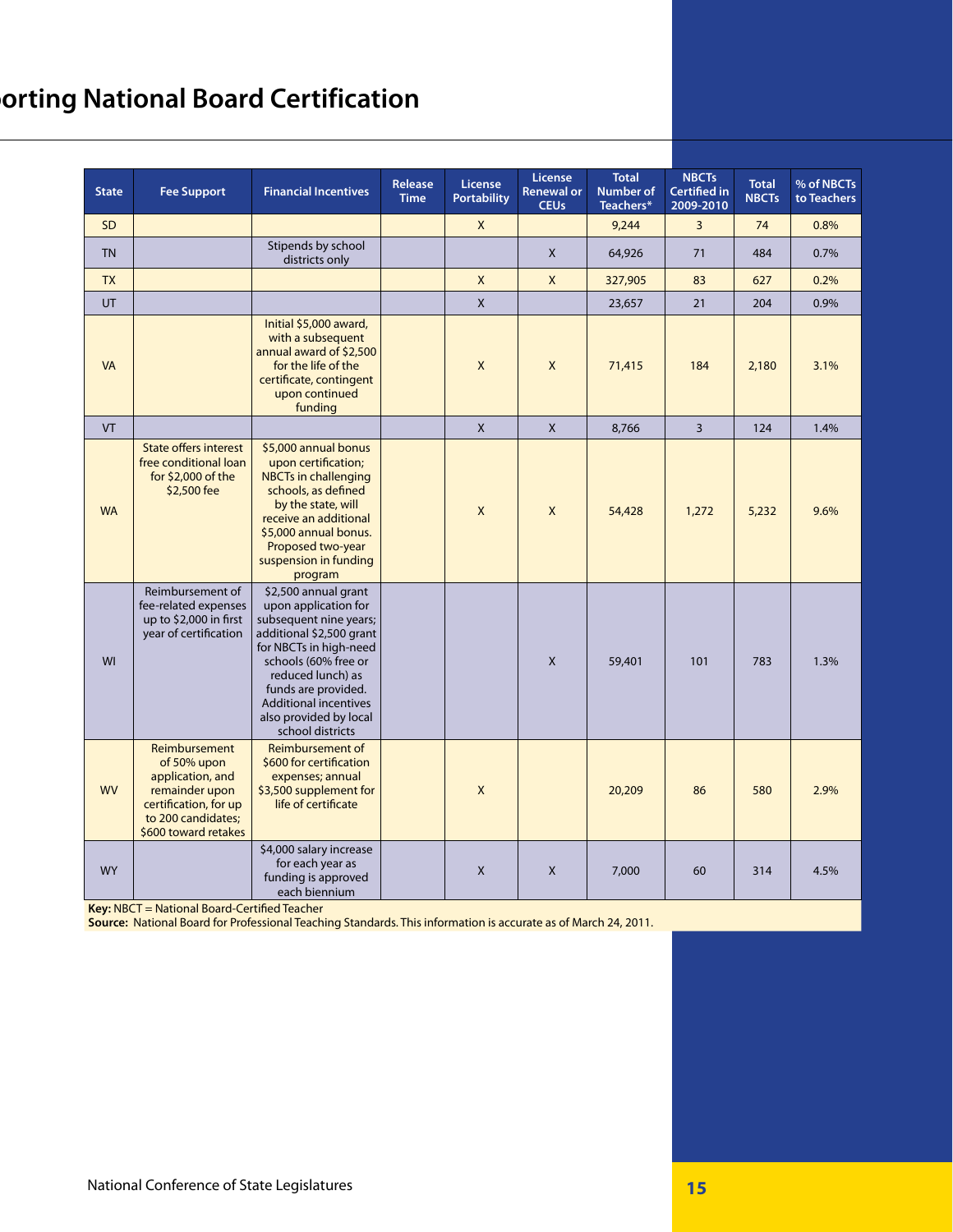## **Sorting National Board Certification**

| <b>State</b> | <b>Fee Support</b>                                                                                                                        | <b>Financial Incentives</b>                                                                                                                                                                                                                                                    | <b>Release</b><br><b>Time</b> | <b>License</b><br><b>Portability</b> | License<br><b>Renewal or</b><br><b>CEUs</b> | <b>Total</b><br>Number of<br>Teachers* | <b>NBCTs</b><br><b>Certified in</b><br>2009-2010 | <b>Total</b><br><b>NBCTs</b> | % of NBCTs<br>to Teachers |
|--------------|-------------------------------------------------------------------------------------------------------------------------------------------|--------------------------------------------------------------------------------------------------------------------------------------------------------------------------------------------------------------------------------------------------------------------------------|-------------------------------|--------------------------------------|---------------------------------------------|----------------------------------------|--------------------------------------------------|------------------------------|---------------------------|
| <b>SD</b>    |                                                                                                                                           |                                                                                                                                                                                                                                                                                |                               | X                                    |                                             | 9,244                                  | 3                                                | 74                           | 0.8%                      |
| <b>TN</b>    |                                                                                                                                           | Stipends by school<br>districts only                                                                                                                                                                                                                                           |                               |                                      | X                                           | 64,926                                 | 71                                               | 484                          | 0.7%                      |
| <b>TX</b>    |                                                                                                                                           |                                                                                                                                                                                                                                                                                |                               | X                                    | X                                           | 327,905                                | 83                                               | 627                          | 0.2%                      |
| UT           |                                                                                                                                           |                                                                                                                                                                                                                                                                                |                               | $\mathsf{X}$                         |                                             | 23,657                                 | 21                                               | 204                          | 0.9%                      |
| <b>VA</b>    |                                                                                                                                           | Initial \$5,000 award,<br>with a subsequent<br>annual award of \$2,500<br>for the life of the<br>certificate, contingent<br>upon continued<br>funding                                                                                                                          |                               | X                                    | X                                           | 71,415                                 | 184                                              | 2,180                        | 3.1%                      |
| <b>VT</b>    |                                                                                                                                           |                                                                                                                                                                                                                                                                                |                               | $\mathsf{X}$                         | $\mathsf{X}$                                | 8,766                                  | $\overline{3}$                                   | 124                          | 1.4%                      |
| <b>WA</b>    | <b>State offers interest</b><br>free conditional loan<br>for $$2,000$ of the<br>\$2,500 fee                                               | \$5,000 annual bonus<br>upon certification;<br><b>NBCTs in challenging</b><br>schools, as defined<br>by the state, will<br>receive an additional<br>\$5,000 annual bonus.<br>Proposed two-year<br>suspension in funding<br>program                                             |                               | X                                    | X                                           | 54,428                                 | 1,272                                            | 5,232                        | 9.6%                      |
| WI           | Reimbursement of<br>fee-related expenses<br>up to \$2,000 in first<br>year of certification                                               | \$2,500 annual grant<br>upon application for<br>subsequent nine years;<br>additional \$2,500 grant<br>for NBCTs in high-need<br>schools (60% free or<br>reduced lunch) as<br>funds are provided.<br><b>Additional incentives</b><br>also provided by local<br>school districts |                               |                                      | $\mathsf{x}$                                | 59,401                                 | 101                                              | 783                          | 1.3%                      |
| <b>WV</b>    | Reimbursement<br>of 50% upon<br>application, and<br>remainder upon<br>certification, for up<br>to 200 candidates;<br>\$600 toward retakes | <b>Reimbursement of</b><br>\$600 for certification<br>expenses; annual<br>\$3,500 supplement for<br>life of certificate                                                                                                                                                        |                               | X                                    |                                             | 20,209                                 | 86                                               | 580                          | 2.9%                      |
| <b>WY</b>    |                                                                                                                                           | \$4,000 salary increase<br>for each year as<br>funding is approved<br>each biennium                                                                                                                                                                                            |                               | X                                    | X                                           | 7,000                                  | 60                                               | 314                          | 4.5%                      |

**Key:** NBCT = National Board-Certified Teacher

**Source:** National Board for Professional Teaching Standards. This information is accurate as of March 24, 2011.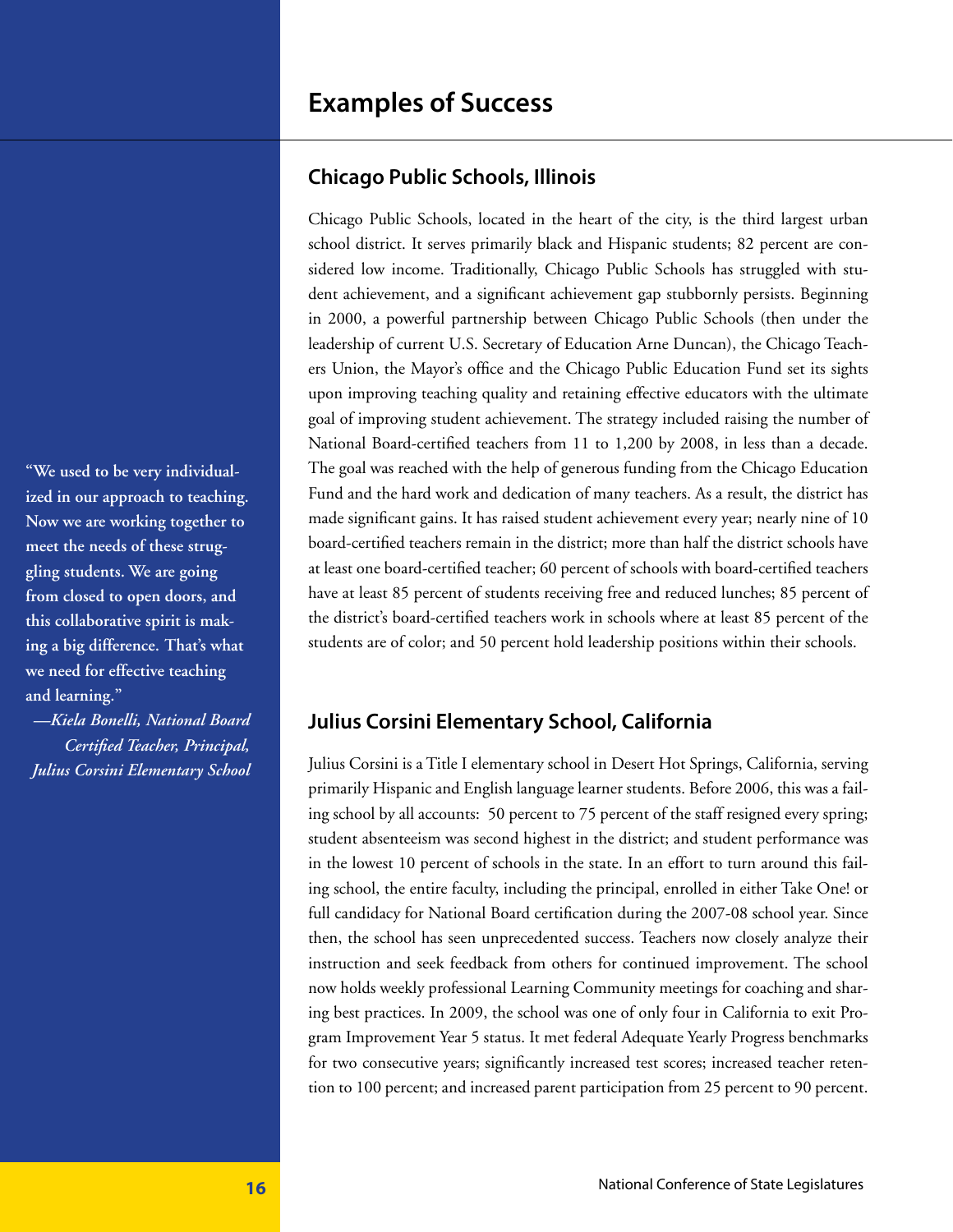### **Examples of Success**

#### **Chicago Public Schools, Illinois**

Chicago Public Schools, located in the heart of the city, is the third largest urban school district. It serves primarily black and Hispanic students; 82 percent are considered low income. Traditionally, Chicago Public Schools has struggled with student achievement, and a significant achievement gap stubbornly persists. Beginning in 2000, a powerful partnership between Chicago Public Schools (then under the leadership of current U.S. Secretary of Education Arne Duncan), the Chicago Teachers Union, the Mayor's office and the Chicago Public Education Fund set its sights upon improving teaching quality and retaining effective educators with the ultimate goal of improving student achievement. The strategy included raising the number of National Board-certified teachers from 11 to 1,200 by 2008, in less than a decade. The goal was reached with the help of generous funding from the Chicago Education Fund and the hard work and dedication of many teachers. As a result, the district has made significant gains. It has raised student achievement every year; nearly nine of 10 board-certified teachers remain in the district; more than half the district schools have at least one board-certified teacher; 60 percent of schools with board-certified teachers have at least 85 percent of students receiving free and reduced lunches; 85 percent of the district's board-certified teachers work in schools where at least 85 percent of the students are of color; and 50 percent hold leadership positions within their schools.

#### **Julius Corsini Elementary School, California**

Julius Corsini is a Title I elementary school in Desert Hot Springs, California, serving primarily Hispanic and English language learner students. Before 2006, this was a failing school by all accounts: 50 percent to 75 percent of the staff resigned every spring; student absenteeism was second highest in the district; and student performance was in the lowest 10 percent of schools in the state. In an effort to turn around this failing school, the entire faculty, including the principal, enrolled in either Take One! or full candidacy for National Board certification during the 2007-08 school year. Since then, the school has seen unprecedented success. Teachers now closely analyze their instruction and seek feedback from others for continued improvement. The school now holds weekly professional Learning Community meetings for coaching and sharing best practices. In 2009, the school was one of only four in California to exit Program Improvement Year 5 status. It met federal Adequate Yearly Progress benchmarks for two consecutive years; significantly increased test scores; increased teacher retention to 100 percent; and increased parent participation from 25 percent to 90 percent.

**"We used to be very individualized in our approach to teaching. Now we are working together to meet the needs of these struggling students. We are going from closed to open doors, and this collaborative spirit is making a big difference. That's what we need for effective teaching and learning."** 

*—Kiela Bonelli, National Board Certified Teacher, Principal, Julius Corsini Elementary School*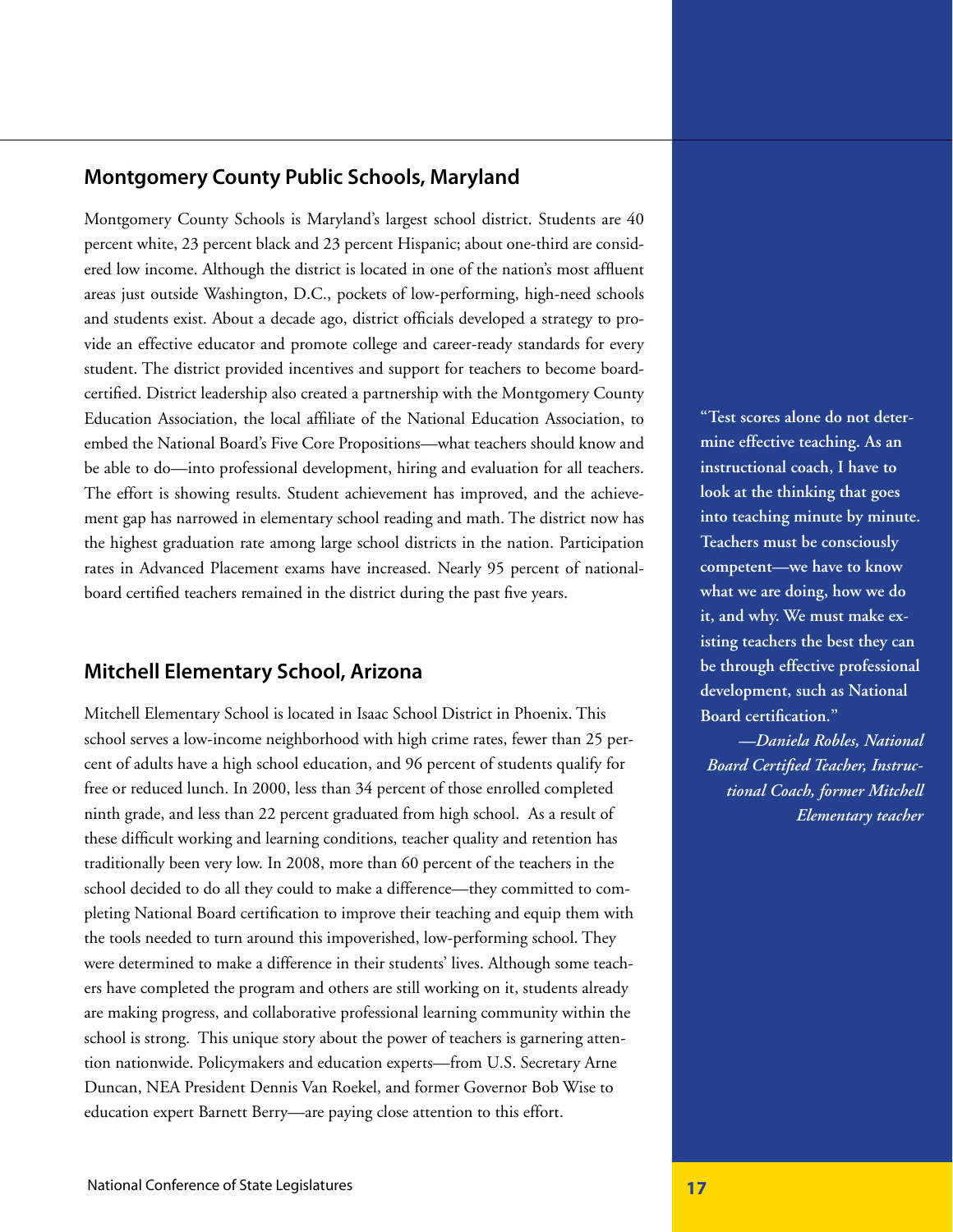#### **Montgomery County Public Schools, Maryland**

Montgomery County Schools is Maryland's largest school district. Students are 40 percent white, 23 percent black and 23 percent Hispanic; about one-third are considered low income. Although the district is located in one of the nation's most affluent areas just outside Washington, D.C., pockets of low-performing, high-need schools and students exist. About a decade ago, district officials developed a strategy to provide an effective educator and promote college and career-ready standards for every student. The district provided incentives and support for teachers to become boardcertified. District leadership also created a partnership with the Montgomery County Education Association, the local affiliate of the National Education Association, to embed the National Board's Five Core Propositions—what teachers should know and be able to do—into professional development, hiring and evaluation for all teachers. The effort is showing results. Student achievement has improved, and the achievement gap has narrowed in elementary school reading and math. The district now has the highest graduation rate among large school districts in the nation. Participation rates in Advanced Placement exams have increased. Nearly 95 percent of nationalboard certified teachers remained in the district during the past five years.

#### **Mitchell Elementary School, Arizona**

Mitchell Elementary School is located in Isaac School District in Phoenix. This school serves a low-income neighborhood with high crime rates, fewer than 25 percent of adults have a high school education, and 96 percent of students qualify for free or reduced lunch. In 2000, less than 34 percent of those enrolled completed ninth grade, and less than 22 percent graduated from high school. As a result of these difficult working and learning conditions, teacher quality and retention has traditionally been very low. In 2008, more than 60 percent of the teachers in the school decided to do all they could to make a difference—they committed to completing National Board certification to improve their teaching and equip them with the tools needed to turn around this impoverished, low-performing school. They were determined to make a difference in their students' lives. Although some teachers have completed the program and others are still working on it, students already are making progress, and collaborative professional learning community within the school is strong. This unique story about the power of teachers is garnering attention nationwide. Policymakers and education experts—from U.S. Secretary Arne Duncan, NEA President Dennis Van Roekel, and former Governor Bob Wise to education expert Barnett Berry—are paying close attention to this effort.

**"Test scores alone do not determine effective teaching. As an instructional coach, I have to look at the thinking that goes into teaching minute by minute. Teachers must be consciously competent—we have to know what we are doing, how we do it, and why. We must make existing teachers the best they can be through effective professional development, such as National Board certification."**

*—Daniela Robles, National Board Certified Teacher, Instructional Coach, former Mitchell Elementary teacher*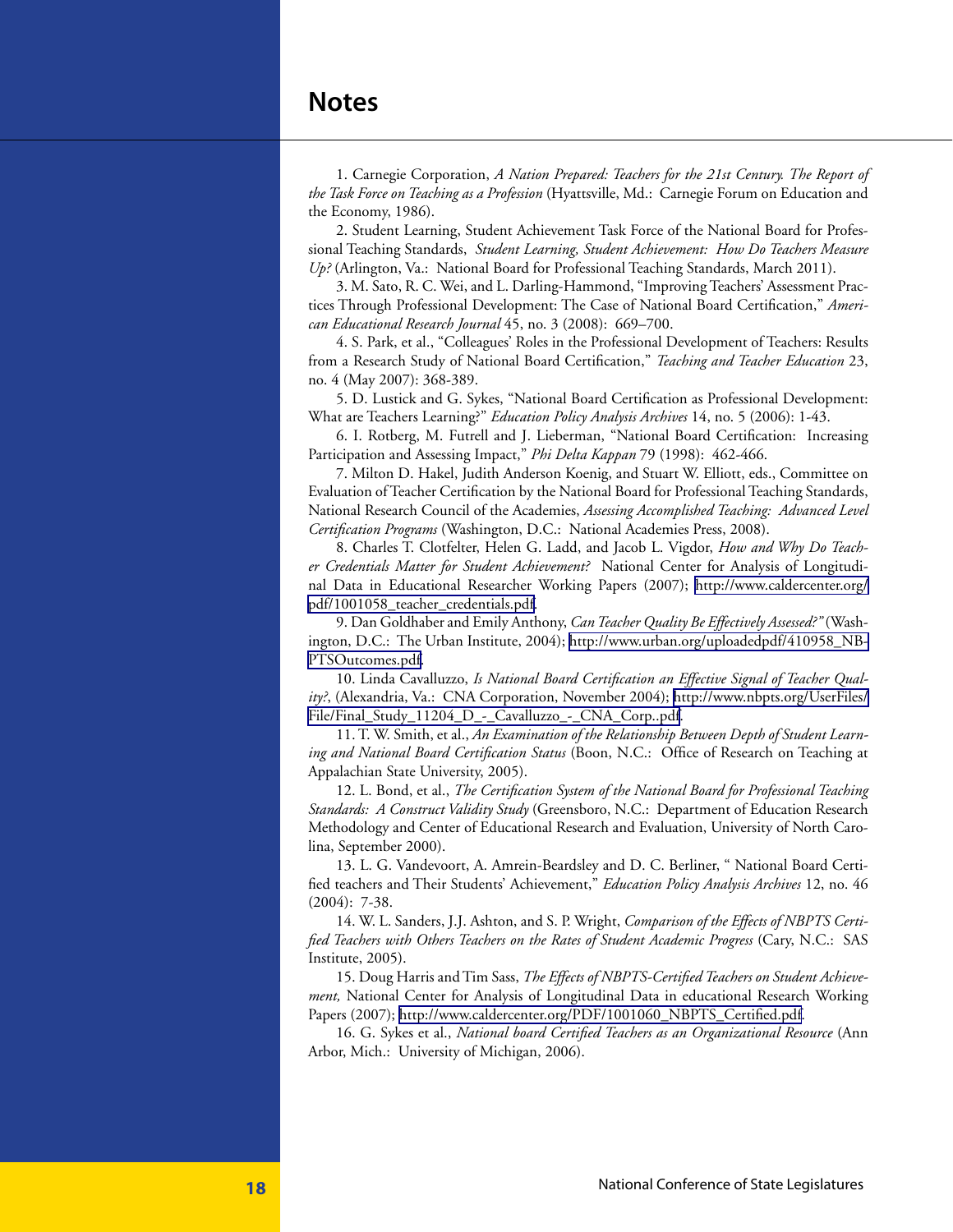### **Notes**

1. Carnegie Corporation, *A Nation Prepared: Teachers for the 21st Century. The Report of the Task Force on Teaching as a Profession* (Hyattsville, Md.: Carnegie Forum on Education and the Economy, 1986).

2. Student Learning, Student Achievement Task Force of the National Board for Professional Teaching Standards, *Student Learning, Student Achievement: How Do Teachers Measure Up?* (Arlington, Va.: National Board for Professional Teaching Standards, March 2011).

3. M. Sato, R. C. Wei, and L. Darling-Hammond, "Improving Teachers' Assessment Practices Through Professional Development: The Case of National Board Certification," *American Educational Research Journal* 45, no. 3 (2008): 669–700.

4. S. Park, et al., "Colleagues' Roles in the Professional Development of Teachers: Results from a Research Study of National Board Certification," *Teaching and Teacher Education* 23, no. 4 (May 2007): 368-389.

5. D. Lustick and G. Sykes, "National Board Certification as Professional Development: What are Teachers Learning?" *Education Policy Analysis Archives* 14, no. 5 (2006): 1-43.

6. I. Rotberg, M. Futrell and J. Lieberman, "National Board Certification: Increasing Participation and Assessing Impact," *Phi Delta Kappan* 79 (1998): 462-466.

7. Milton D. Hakel, Judith Anderson Koenig, and Stuart W. Elliott, eds., Committee on Evaluation of Teacher Certification by the National Board for Professional Teaching Standards, National Research Council of the Academies, *Assessing Accomplished Teaching: Advanced Level Certification Programs* (Washington, D.C.: National Academies Press, 2008).

8. Charles T. Clotfelter, Helen G. Ladd, and Jacob L. Vigdor, *How and Why Do Teacher Credentials Matter for Student Achievement?* National Center for Analysis of Longitudinal Data in Educational Researcher Working Papers (2007); [http://www.caldercenter.org/](http://www.caldercenter.org/pdf/1001058_teacher_credentials.pdf) [pdf/1001058\\_teacher\\_credentials.pdf](http://www.caldercenter.org/pdf/1001058_teacher_credentials.pdf).

9. Dan Goldhaber and Emily Anthony, *Can Teacher Quality Be Effectively Assessed?"* (Washington, D.C.: The Urban Institute, 2004); [http://www.urban.org/uploadedpdf/410958\\_NB-](http://www.urban.org/uploadedpdf/410958_NBPTSOutcomes.pdf)[PTSOutcomes.pdf](http://www.urban.org/uploadedpdf/410958_NBPTSOutcomes.pdf).

10. Linda Cavalluzzo, *Is National Board Certification an Effective Signal of Teacher Quality?*, (Alexandria, Va.: CNA Corporation, November 2004); [http://www.nbpts.org/UserFiles/](http://www.nbpts.org/UserFiles/File/Final_Study_11204_D_-_Cavalluzzo_-_CNA_Corp..pdf) [File/Final\\_Study\\_11204\\_D\\_-\\_Cavalluzzo\\_-\\_CNA\\_Corp..pdf.](http://www.nbpts.org/UserFiles/File/Final_Study_11204_D_-_Cavalluzzo_-_CNA_Corp..pdf)

11. T. W. Smith, et al., *An Examination of the Relationship Between Depth of Student Learning and National Board Certification Status* (Boon, N.C.: Office of Research on Teaching at Appalachian State University, 2005).

12. L. Bond, et al., *The Certification System of the National Board for Professional Teaching Standards: A Construct Validity Study* (Greensboro, N.C.: Department of Education Research Methodology and Center of Educational Research and Evaluation, University of North Carolina, September 2000).

13. L. G. Vandevoort, A. Amrein-Beardsley and D. C. Berliner, " National Board Certified teachers and Their Students' Achievement," *Education Policy Analysis Archives* 12, no. 46 (2004): 7-38.

14. W. L. Sanders, J.J. Ashton, and S. P. Wright, *Comparison of the Effects of NBPTS Certified Teachers with Others Teachers on the Rates of Student Academic Progress* (Cary, N.C.: SAS Institute, 2005).

15. Doug Harris and Tim Sass, *The Effects of NBPTS-Certified Teachers on Student Achievement,* National Center for Analysis of Longitudinal Data in educational Research Working Papers (2007); [http://www.caldercenter.org/PDF/1001060\\_NBPTS\\_Certified.pdf](http://www.caldercenter.org/PDF/1001060_NBPTS_Certified.pdf).

16. G. Sykes et al., *National board Certified Teachers as an Organizational Resource* (Ann Arbor, Mich.: University of Michigan, 2006).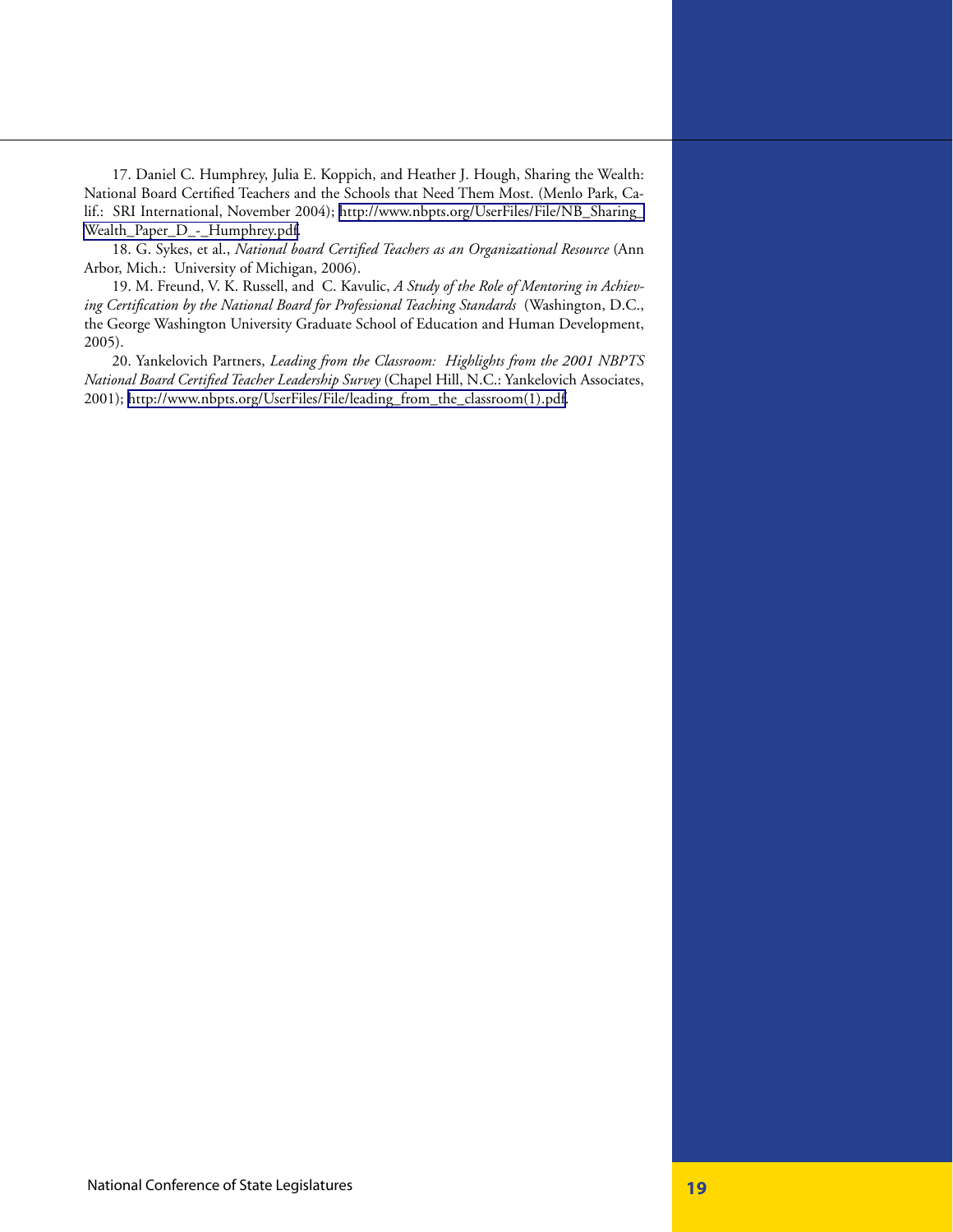17. Daniel C. Humphrey, Julia E. Koppich, and Heather J. Hough, Sharing the Wealth: National Board Certified Teachers and the Schools that Need Them Most. (Menlo Park, Calif.: SRI International, November 2004); [http://www.nbpts.org/UserFiles/File/NB\\_Sharing\\_](http://www.nbpts.org/UserFiles/File/NB_Sharing_Wealth_Paper_D_-_Humphrey.pdf) [Wealth\\_Paper\\_D\\_-\\_Humphrey.pdf](http://www.nbpts.org/UserFiles/File/NB_Sharing_Wealth_Paper_D_-_Humphrey.pdf).

18. G. Sykes, et al., *National board Certified Teachers as an Organizational Resource* (Ann Arbor, Mich.: University of Michigan, 2006).

19. M. Freund, V. K. Russell, and C. Kavulic, *A Study of the Role of Mentoring in Achieving Certification by the National Board for Professional Teaching Standards* (Washington, D.C., the George Washington University Graduate School of Education and Human Development, 2005).

20. Yankelovich Partners, *Leading from the Classroom: Highlights from the 2001 NBPTS National Board Certified Teacher Leadership Survey* (Chapel Hill, N.C.: Yankelovich Associates, 2001); [http://www.nbpts.org/UserFiles/File/leading\\_from\\_the\\_classroom\(1\).pdf](http://www.nbpts.org/UserFiles/File/leading_from_the_classroom(1).pdf).